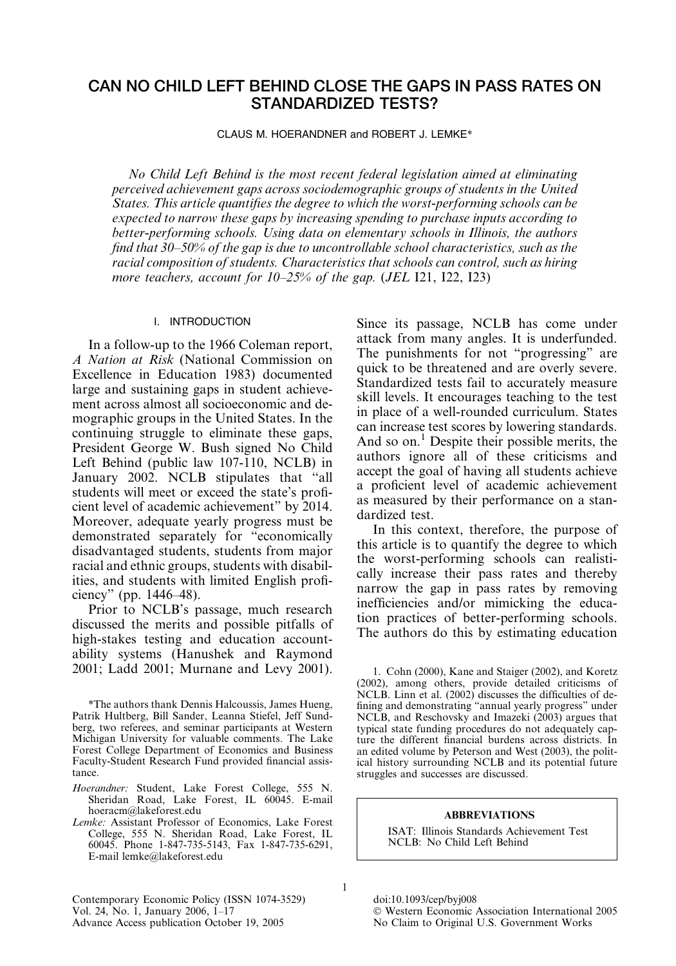# CAN NO CHILD LEFT BEHIND CLOSE THE GAPS IN PASS RATES ON STANDARDIZED TESTS?

CLAUS M. HOERANDNER and ROBERT J. LEMKE\*

No Child Left Behind is the most recent federal legislation aimed at eliminating perceived achievement gaps across sociodemographic groups of students in the United States. This article quantifies the degree to which the worst-performing schools can be expected to narrow these gaps by increasing spending to purchase inputs according to better-performing schools. Using data on elementary schools in Illinois, the authors find that 30–50% of the gap is due to uncontrollable school characteristics, such as the racial composition of students. Characteristics that schools can control, such as hiring more teachers, account for  $10-25%$  of the gap. (JEL 121, 122, 123)

## I. INTRODUCTION

In a follow-up to the 1966 Coleman report, A Nation at Risk (National Commission on Excellence in Education 1983) documented large and sustaining gaps in student achievement across almost all socioeconomic and demographic groups in the United States. In the continuing struggle to eliminate these gaps, President George W. Bush signed No Child Left Behind (public law 107-110, NCLB) in January 2002. NCLB stipulates that ''all students will meet or exceed the state's proficient level of academic achievement'' by 2014. Moreover, adequate yearly progress must be demonstrated separately for ''economically disadvantaged students, students from major racial and ethnic groups, students with disabilities, and students with limited English proficiency'' (pp. 1446–48).

Prior to NCLB's passage, much research discussed the merits and possible pitfalls of high-stakes testing and education accountability systems (Hanushek and Raymond 2001; Ladd 2001; Murnane and Levy 2001).

\*The authors thank Dennis Halcoussis, James Hueng, Patrik Hultberg, Bill Sander, Leanna Stiefel, Jeff Sundberg, two referees, and seminar participants at Western Michigan University for valuable comments. The Lake Forest College Department of Economics and Business Faculty-Student Research Fund provided financial assistance.

- Hoerandner: Student, Lake Forest College, 555 N. Sheridan Road, Lake Forest, IL 60045. E-mail hoeracm@lakeforest.edu
- Lemke: Assistant Professor of Economics, Lake Forest College, 555 N. Sheridan Road, Lake Forest, IL 60045. Phone 1-847-735-5143, Fax 1-847-735-6291, E-mail lemke@lakeforest.edu

Contemporary Economic Policy (ISSN 1074-3529) doi:10.1093/cep/byj008<br>Vol. 24, No. 1, January 2006, 1–17 © Western Economic Advance Access publication October 19, 2005

Since its passage, NCLB has come under attack from many angles. It is underfunded. The punishments for not "progressing" are quick to be threatened and are overly severe. Standardized tests fail to accurately measure skill levels. It encourages teaching to the test in place of a well-rounded curriculum. States can increase test scores by lowering standards. And so on.<sup>1</sup> Despite their possible merits, the authors ignore all of these criticisms and accept the goal of having all students achieve a proficient level of academic achievement as measured by their performance on a standardized test.

In this context, therefore, the purpose of this article is to quantify the degree to which the worst-performing schools can realistically increase their pass rates and thereby narrow the gap in pass rates by removing inefficiencies and/or mimicking the education practices of better-performing schools. The authors do this by estimating education

1. Cohn (2000), Kane and Staiger (2002), and Koretz (2002), among others, provide detailed criticisms of NCLB. Linn et al. (2002) discusses the difficulties of defining and demonstrating ''annual yearly progress'' under NCLB, and Reschovsky and Imazeki (2003) argues that typical state funding procedures do not adequately capture the different financial burdens across districts. In an edited volume by Peterson and West (2003), the political history surrounding NCLB and its potential future struggles and successes are discussed.

#### ABBREVIATIONS

ISAT: Illinois Standards Achievement Test NCLB: No Child Left Behind

1

© Western Economic Association International 2005<br>No Claim to Original U.S. Government Works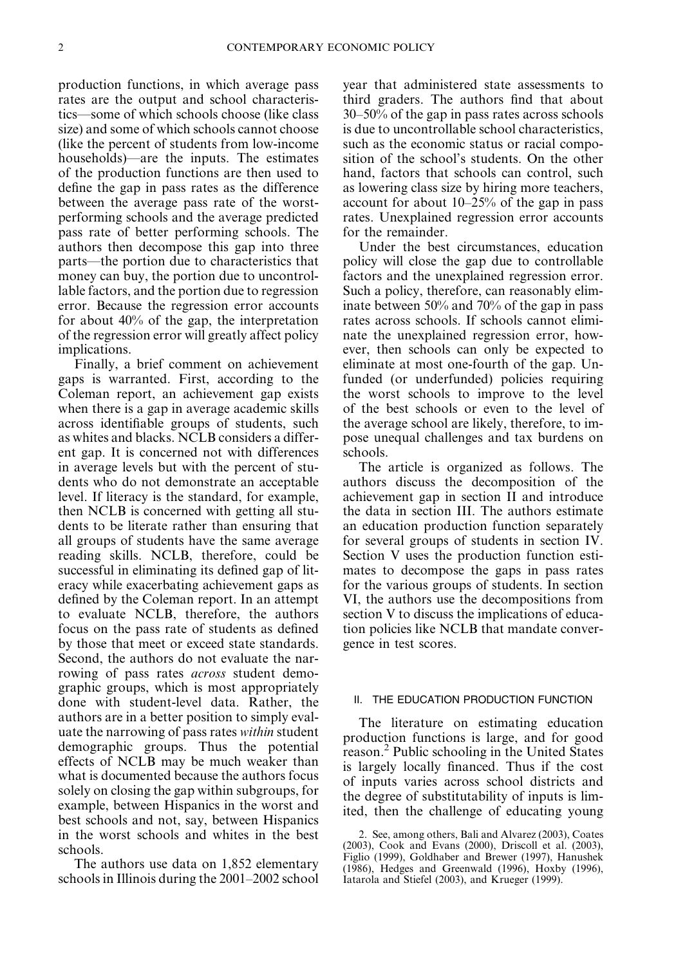production functions, in which average pass rates are the output and school characteristics—some of which schools choose (like class size) and some of which schools cannot choose (like the percent of students from low-income households)—are the inputs. The estimates of the production functions are then used to define the gap in pass rates as the difference between the average pass rate of the worstperforming schools and the average predicted pass rate of better performing schools. The authors then decompose this gap into three parts—the portion due to characteristics that money can buy, the portion due to uncontrollable factors, and the portion due to regression error. Because the regression error accounts for about 40% of the gap, the interpretation of the regression error will greatly affect policy implications.

Finally, a brief comment on achievement gaps is warranted. First, according to the Coleman report, an achievement gap exists when there is a gap in average academic skills across identifiable groups of students, such as whites and blacks. NCLB considers a different gap. It is concerned not with differences in average levels but with the percent of students who do not demonstrate an acceptable level. If literacy is the standard, for example, then NCLB is concerned with getting all students to be literate rather than ensuring that all groups of students have the same average reading skills. NCLB, therefore, could be successful in eliminating its defined gap of literacy while exacerbating achievement gaps as defined by the Coleman report. In an attempt to evaluate NCLB, therefore, the authors focus on the pass rate of students as defined by those that meet or exceed state standards. Second, the authors do not evaluate the narrowing of pass rates *across* student demographic groups, which is most appropriately done with student-level data. Rather, the authors are in a better position to simply evaluate the narrowing of pass rates within student demographic groups. Thus the potential effects of NCLB may be much weaker than what is documented because the authors focus solely on closing the gap within subgroups, for example, between Hispanics in the worst and best schools and not, say, between Hispanics in the worst schools and whites in the best schools.

The authors use data on 1,852 elementary schools in Illinois during the 2001–2002 school year that administered state assessments to third graders. The authors find that about 30–50% of the gap in pass rates across schools is due to uncontrollable school characteristics, such as the economic status or racial composition of the school's students. On the other hand, factors that schools can control, such as lowering class size by hiring more teachers, account for about 10–25% of the gap in pass rates. Unexplained regression error accounts for the remainder.

Under the best circumstances, education policy will close the gap due to controllable factors and the unexplained regression error. Such a policy, therefore, can reasonably eliminate between 50% and 70% of the gap in pass rates across schools. If schools cannot eliminate the unexplained regression error, however, then schools can only be expected to eliminate at most one-fourth of the gap. Unfunded (or underfunded) policies requiring the worst schools to improve to the level of the best schools or even to the level of the average school are likely, therefore, to impose unequal challenges and tax burdens on schools.

The article is organized as follows. The authors discuss the decomposition of the achievement gap in section II and introduce the data in section III. The authors estimate an education production function separately for several groups of students in section IV. Section V uses the production function estimates to decompose the gaps in pass rates for the various groups of students. In section VI, the authors use the decompositions from section V to discuss the implications of education policies like NCLB that mandate convergence in test scores.

## II. THE EDUCATION PRODUCTION FUNCTION

The literature on estimating education production functions is large, and for good reason.2 Public schooling in the United States is largely locally financed. Thus if the cost of inputs varies across school districts and the degree of substitutability of inputs is limited, then the challenge of educating young

<sup>2.</sup> See, among others, Bali and Alvarez (2003), Coates (2003), Cook and Evans (2000), Driscoll et al. (2003), Figlio (1999), Goldhaber and Brewer (1997), Hanushek (1986), Hedges and Greenwald (1996), Hoxby (1996), Iatarola and Stiefel (2003), and Krueger (1999).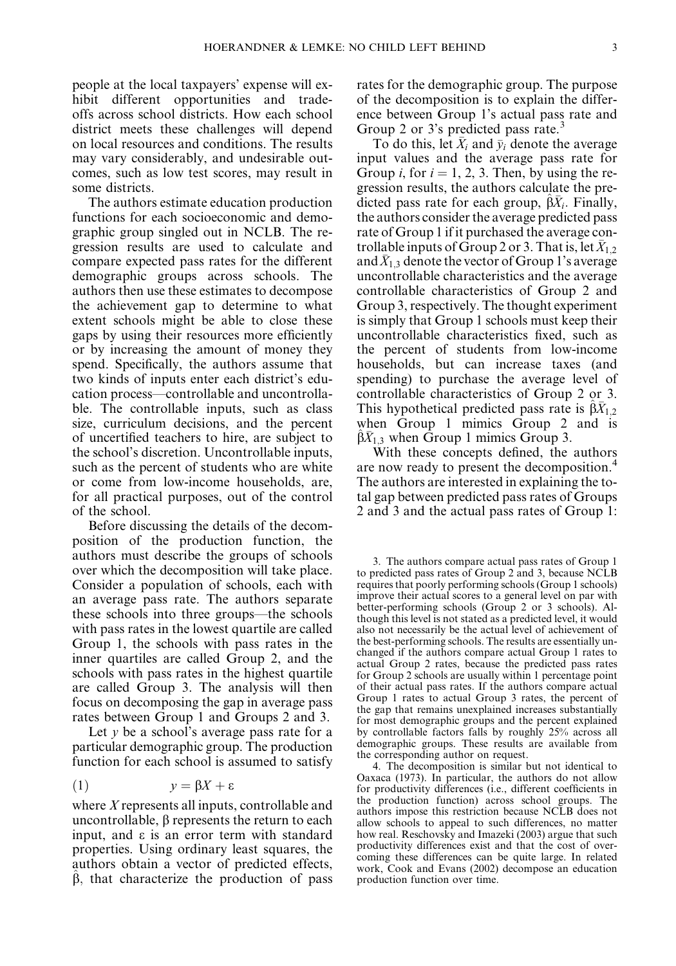people at the local taxpayers' expense will exhibit different opportunities and tradeoffs across school districts. How each school district meets these challenges will depend on local resources and conditions. The results may vary considerably, and undesirable outcomes, such as low test scores, may result in some districts.

The authors estimate education production functions for each socioeconomic and demographic group singled out in NCLB. The regression results are used to calculate and compare expected pass rates for the different demographic groups across schools. The authors then use these estimates to decompose the achievement gap to determine to what extent schools might be able to close these gaps by using their resources more efficiently or by increasing the amount of money they spend. Specifically, the authors assume that two kinds of inputs enter each district's education process—controllable and uncontrollable. The controllable inputs, such as class size, curriculum decisions, and the percent of uncertified teachers to hire, are subject to the school's discretion. Uncontrollable inputs, such as the percent of students who are white or come from low-income households, are, for all practical purposes, out of the control of the school.

Before discussing the details of the decomposition of the production function, the authors must describe the groups of schools over which the decomposition will take place. Consider a population of schools, each with an average pass rate. The authors separate these schools into three groups—the schools with pass rates in the lowest quartile are called Group 1, the schools with pass rates in the inner quartiles are called Group 2, and the schools with pass rates in the highest quartile are called Group 3. The analysis will then focus on decomposing the gap in average pass rates between Group 1 and Groups 2 and 3.

Let  $\nu$  be a school's average pass rate for a particular demographic group. The production function for each school is assumed to satisfy

$$
(1) \t y = \beta X + \varepsilon
$$

where X represents all inputs, controllable and uncontrollable,  $\beta$  represents the return to each input, and  $\varepsilon$  is an error term with standard properties. Using ordinary least squares, the authors obtain a vector of predicted effects,  $\beta$ , that characterize the production of pass rates for the demographic group. The purpose of the decomposition is to explain the difference between Group 1's actual pass rate and Group 2 or 3's predicted pass rate.<sup>3</sup>

To do this, let  $\overline{X}_i$  and  $\overline{y}_i$  denote the average input values and the average pass rate for Group *i*, for  $i = 1, 2, 3$ . Then, by using the regression results, the authors calculate the predicted pass rate for each group,  $\hat{\beta}\bar{X}_i$ . Finally, the authors consider the average predicted pass rate of Group 1 if it purchased the average controllable inputs of Group 2 or 3. That is, let  $X_{1,2}$ and  $X_{1,3}$  denote the vector of Group 1's average uncontrollable characteristics and the average controllable characteristics of Group 2 and Group 3, respectively. The thought experiment is simply that Group 1 schools must keep their uncontrollable characteristics fixed, such as the percent of students from low-income households, but can increase taxes (and spending) to purchase the average level of controllable characteristics of Group 2 or 3. This hypothetical predicted pass rate is  $\beta \bar{X}_{1,2}$ when Group 1 mimics Group 2 and is  $\hat{\beta}\bar{X}_{1,3}$  when Group 1 mimics Group 3.

With these concepts defined, the authors are now ready to present the decomposition.<sup>4</sup> The authors are interested in explaining the total gap between predicted pass rates of Groups 2 and 3 and the actual pass rates of Group 1:

3. The authors compare actual pass rates of Group 1 to predicted pass rates of Group 2 and 3, because NCLB requires that poorly performing schools (Group 1 schools) improve their actual scores to a general level on par with better-performing schools (Group 2 or 3 schools). Although this level is not stated as a predicted level, it would also not necessarily be the actual level of achievement of the best-performing schools. The results are essentially unchanged if the authors compare actual Group 1 rates to actual Group 2 rates, because the predicted pass rates for Group 2 schools are usually within 1 percentage point of their actual pass rates. If the authors compare actual Group 1 rates to actual Group 3 rates, the percent of the gap that remains unexplained increases substantially for most demographic groups and the percent explained by controllable factors falls by roughly 25% across all demographic groups. These results are available from the corresponding author on request.

4. The decomposition is similar but not identical to Oaxaca (1973). In particular, the authors do not allow for productivity differences (i.e., different coefficients in the production function) across school groups. The authors impose this restriction because NCLB does not allow schools to appeal to such differences, no matter how real. Reschovsky and Imazeki (2003) argue that such productivity differences exist and that the cost of overcoming these differences can be quite large. In related work, Cook and Evans (2002) decompose an education production function over time.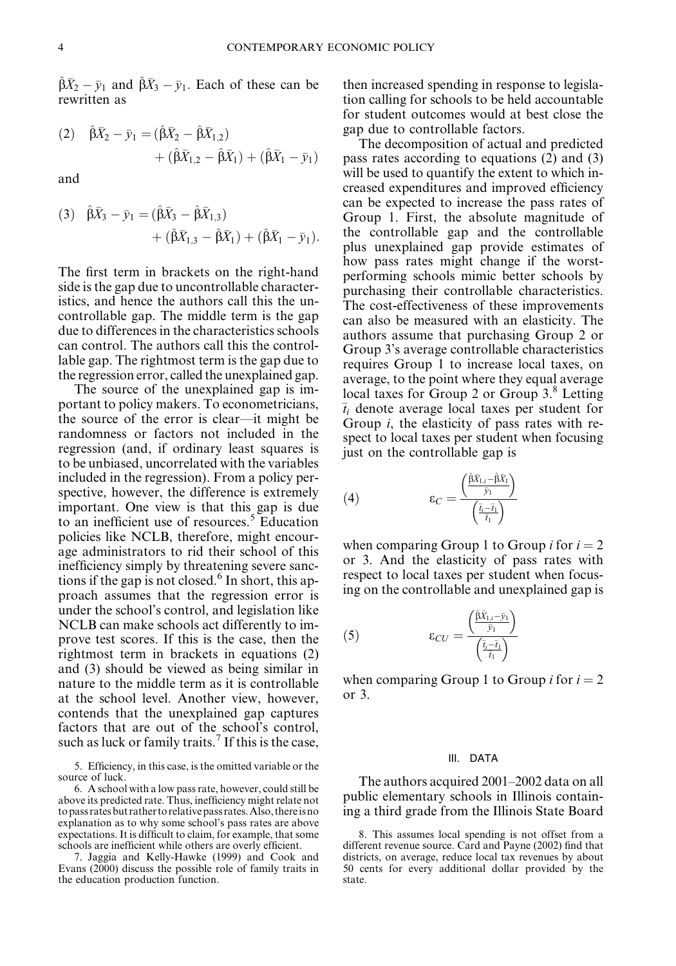$\hat{\beta}\bar{X}_2 - \bar{y}_1$  and  $\hat{\beta}\bar{X}_3 - \bar{y}_1$ . Each of these can be rewritten as

(2) 
$$
\hat{\beta}\bar{X}_2 - \bar{y}_1 = (\hat{\beta}\bar{X}_2 - \hat{\beta}\bar{X}_{1,2}) + (\hat{\beta}\bar{X}_{1,2} - \hat{\beta}\bar{X}_1) + (\hat{\beta}\bar{X}_1 - \bar{y}_1)
$$

and

(3) 
$$
\hat{\beta}\bar{X}_3 - \bar{y}_1 = (\hat{\beta}\bar{X}_3 - \hat{\beta}\bar{X}_{1,3})
$$
  
  $+ (\hat{\beta}\bar{X}_{1,3} - \hat{\beta}\bar{X}_1) + (\hat{\beta}\bar{X}_1 - \bar{y}_1).$ 

The first term in brackets on the right-hand side is the gap due to uncontrollable characteristics, and hence the authors call this the uncontrollable gap. The middle term is the gap due to differences in the characteristics schools can control. The authors call this the controllable gap. The rightmost term is the gap due to the regression error, called the unexplained gap.

The source of the unexplained gap is important to policy makers. To econometricians, the source of the error is clear—it might be randomness or factors not included in the regression (and, if ordinary least squares is to be unbiased, uncorrelated with the variables included in the regression). From a policy perspective, however, the difference is extremely important. One view is that this gap is due to an inefficient use of resources.<sup>5</sup> Education policies like NCLB, therefore, might encourage administrators to rid their school of this inefficiency simply by threatening severe sanctions if the gap is not closed.<sup>6</sup> In short, this approach assumes that the regression error is under the school's control, and legislation like NCLB can make schools act differently to improve test scores. If this is the case, then the rightmost term in brackets in equations (2) and (3) should be viewed as being similar in nature to the middle term as it is controllable at the school level. Another view, however, contends that the unexplained gap captures factors that are out of the school's control, such as luck or family traits.<sup>7</sup> If this is the case,

5. Efficiency, in this case, is the omitted variable or the source of luck.

6. A school with a low pass rate, however, could still be above its predicted rate. Thus, inefficiency might relate not topassratesbutrathertorelativepassrates.Also,thereisno explanation as to why some school's pass rates are above expectations. It is difficult to claim, for example, that some schools are inefficient while others are overly efficient.

7. Jaggia and Kelly-Hawke (1999) and Cook and Evans (2000) discuss the possible role of family traits in the education production function.

then increased spending in response to legislation calling for schools to be held accountable for student outcomes would at best close the gap due to controllable factors.

The decomposition of actual and predicted pass rates according to equations (2) and (3) will be used to quantify the extent to which increased expenditures and improved efficiency can be expected to increase the pass rates of Group 1. First, the absolute magnitude of the controllable gap and the controllable plus unexplained gap provide estimates of how pass rates might change if the worstperforming schools mimic better schools by purchasing their controllable characteristics. The cost-effectiveness of these improvements can also be measured with an elasticity. The authors assume that purchasing Group 2 or Group 3's average controllable characteristics requires Group 1 to increase local taxes, on average, to the point where they equal average local taxes for Group 2 or Group 3.<sup>8</sup> Letting  $\bar{t}_i$  denote average local taxes per student for Group i, the elasticity of pass rates with respect to local taxes per student when focusing just on the controllable gap is

(4) 
$$
\epsilon_C = \frac{\left(\frac{\hat{\beta}\bar{X}_{1,i}-\hat{\beta}\bar{X}_1}{\bar{y}_1}\right)}{\left(\frac{\bar{t}_i-\bar{t}_1}{\bar{t}_1}\right)}
$$

when comparing Group 1 to Group *i* for  $i = 2$ or 3. And the elasticity of pass rates with respect to local taxes per student when focusing on the controllable and unexplained gap is

(5) 
$$
\epsilon_{CU} = \frac{\left(\frac{\hat{\beta}\bar{X}_{1,i} - \bar{y}_1}{\bar{y}_1}\right)}{\left(\frac{\bar{t}_i - \bar{t}_1}{\bar{t}_1}\right)}
$$

when comparing Group 1 to Group *i* for  $i = 2$ or 3.

#### III. DATA

The authors acquired 2001–2002 data on all public elementary schools in Illinois containing a third grade from the Illinois State Board

<sup>8.</sup> This assumes local spending is not offset from a different revenue source. Card and Payne (2002) find that districts, on average, reduce local tax revenues by about 50 cents for every additional dollar provided by the state.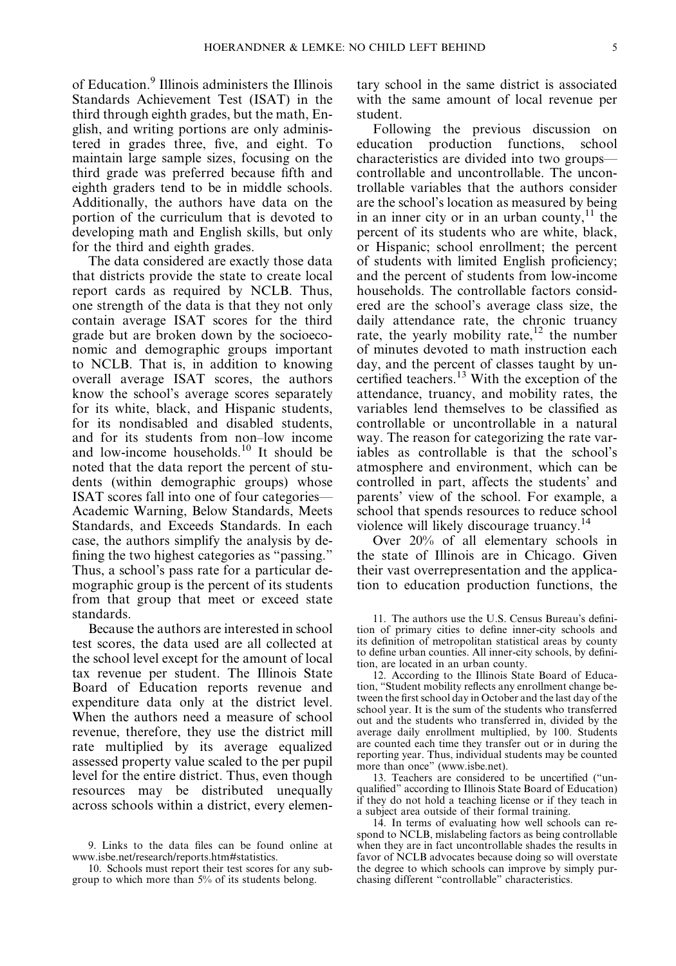of Education.<sup>9</sup> Illinois administers the Illinois Standards Achievement Test (ISAT) in the third through eighth grades, but the math, English, and writing portions are only administered in grades three, five, and eight. To maintain large sample sizes, focusing on the third grade was preferred because fifth and eighth graders tend to be in middle schools. Additionally, the authors have data on the portion of the curriculum that is devoted to developing math and English skills, but only for the third and eighth grades.

The data considered are exactly those data that districts provide the state to create local report cards as required by NCLB. Thus, one strength of the data is that they not only contain average ISAT scores for the third grade but are broken down by the socioeconomic and demographic groups important to NCLB. That is, in addition to knowing overall average ISAT scores, the authors know the school's average scores separately for its white, black, and Hispanic students, for its nondisabled and disabled students, and for its students from non–low income and low-income households.<sup>10</sup> It should be noted that the data report the percent of students (within demographic groups) whose ISAT scores fall into one of four categories— Academic Warning, Below Standards, Meets Standards, and Exceeds Standards. In each case, the authors simplify the analysis by defining the two highest categories as ''passing.'' Thus, a school's pass rate for a particular demographic group is the percent of its students from that group that meet or exceed state standards.

Because the authors are interested in school test scores, the data used are all collected at the school level except for the amount of local tax revenue per student. The Illinois State Board of Education reports revenue and expenditure data only at the district level. When the authors need a measure of school revenue, therefore, they use the district mill rate multiplied by its average equalized assessed property value scaled to the per pupil level for the entire district. Thus, even though resources may be distributed unequally across schools within a district, every elementary school in the same district is associated with the same amount of local revenue per student.

Following the previous discussion on education production functions, school characteristics are divided into two groups controllable and uncontrollable. The uncontrollable variables that the authors consider are the school's location as measured by being in an inner city or in an urban county, $11$  the percent of its students who are white, black, or Hispanic; school enrollment; the percent of students with limited English proficiency; and the percent of students from low-income households. The controllable factors considered are the school's average class size, the daily attendance rate, the chronic truancy rate, the yearly mobility rate, $12$  the number of minutes devoted to math instruction each day, and the percent of classes taught by uncertified teachers.<sup>13</sup> With the exception of the attendance, truancy, and mobility rates, the variables lend themselves to be classified as controllable or uncontrollable in a natural way. The reason for categorizing the rate variables as controllable is that the school's atmosphere and environment, which can be controlled in part, affects the students' and parents' view of the school. For example, a school that spends resources to reduce school violence will likely discourage truancy.

Over 20% of all elementary schools in the state of Illinois are in Chicago. Given their vast overrepresentation and the application to education production functions, the

13. Teachers are considered to be uncertified (''unqualified'' according to Illinois State Board of Education) if they do not hold a teaching license or if they teach in a subject area outside of their formal training.

<sup>9.</sup> Links to the data files can be found online at [www.isbe.net/research/reports.htm#statistics.](http://www.isbe.net/research/reports.htm#statistics)

<sup>10.</sup> Schools must report their test scores for any subgroup to which more than 5% of its students belong.

<sup>11.</sup> The authors use the U.S. Census Bureau's definition of primary cities to define inner-city schools and its definition of metropolitan statistical areas by county to define urban counties. All inner-city schools, by definition, are located in an urban county.

<sup>12.</sup> According to the Illinois State Board of Education, ''Student mobility reflects any enrollment change between the first school day in October and the last day of the school year. It is the sum of the students who transferred out and the students who transferred in, divided by the average daily enrollment multiplied, by 100. Students are counted each time they transfer out or in during the reporting year. Thus, individual students may be counted more than once'' [\(www.isbe.net\)](http://www.bls.gov).

<sup>14.</sup> In terms of evaluating how well schools can respond to NCLB, mislabeling factors as being controllable when they are in fact uncontrollable shades the results in favor of NCLB advocates because doing so will overstate the degree to which schools can improve by simply purchasing different ''controllable'' characteristics.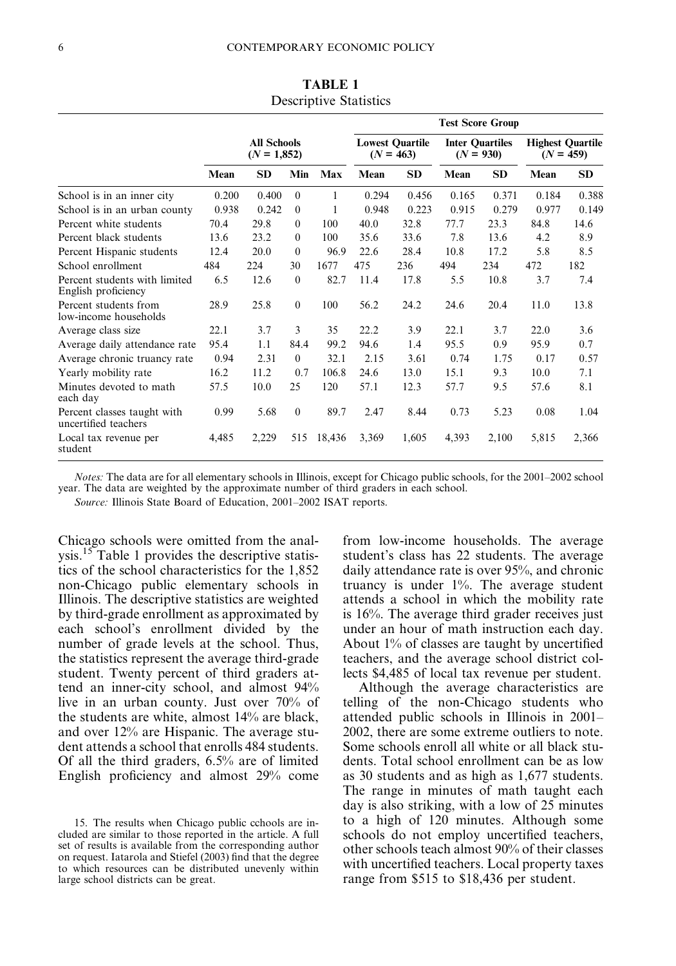|                                                      |                                     |           |                  |        |                                       | <b>Test Score Group</b> |                                       |                                        |       |           |
|------------------------------------------------------|-------------------------------------|-----------|------------------|--------|---------------------------------------|-------------------------|---------------------------------------|----------------------------------------|-------|-----------|
|                                                      | <b>All Schools</b><br>$(N = 1,852)$ |           |                  |        | <b>Lowest Quartile</b><br>$(N = 463)$ |                         | <b>Inter Quartiles</b><br>$(N = 930)$ | <b>Highest Quartile</b><br>$(N = 459)$ |       |           |
|                                                      | Mean                                | <b>SD</b> | Min              | Max    | Mean                                  | <b>SD</b>               | Mean                                  | <b>SD</b>                              | Mean  | <b>SD</b> |
| School is in an inner city                           | 0.200                               | 0.400     | $\theta$         |        | 0.294                                 | 0.456                   | 0.165                                 | 0.371                                  | 0.184 | 0.388     |
| School is in an urban county                         | 0.938                               | 0.242     | $\theta$         |        | 0.948                                 | 0.223                   | 0.915                                 | 0.279                                  | 0.977 | 0.149     |
| Percent white students                               | 70.4                                | 29.8      | $\theta$         | 100    | 40.0                                  | 32.8                    | 77.7                                  | 23.3                                   | 84.8  | 14.6      |
| Percent black students                               | 13.6                                | 23.2      | $\theta$         | 100    | 35.6                                  | 33.6                    | 7.8                                   | 13.6                                   | 4.2   | 8.9       |
| Percent Hispanic students                            | 12.4                                | 20.0      | $\theta$         | 96.9   | 22.6                                  | 28.4                    | 10.8                                  | 17.2                                   | 5.8   | 8.5       |
| School enrollment                                    | 484                                 | 224       | 30               | 1677   | 475                                   | 236                     | 494                                   | 234                                    | 472   | 182       |
| Percent students with limited<br>English proficiency | 6.5                                 | 12.6      | $\boldsymbol{0}$ | 82.7   | 11.4                                  | 17.8                    | 5.5                                   | 10.8                                   | 3.7   | 7.4       |
| Percent students from<br>low-income households       | 28.9                                | 25.8      | $\mathbf{0}$     | 100    | 56.2                                  | 24.2                    | 24.6                                  | 20.4                                   | 11.0  | 13.8      |
| Average class size                                   | 22.1                                | 3.7       | 3                | 35     | 22.2                                  | 3.9                     | 22.1                                  | 3.7                                    | 22.0  | 3.6       |
| Average daily attendance rate                        | 95.4                                | 1.1       | 84.4             | 99.2   | 94.6                                  | 1.4                     | 95.5                                  | 0.9                                    | 95.9  | 0.7       |
| Average chronic truancy rate                         | 0.94                                | 2.31      | $\theta$         | 32.1   | 2.15                                  | 3.61                    | 0.74                                  | 1.75                                   | 0.17  | 0.57      |
| Yearly mobility rate                                 | 16.2                                | 11.2      | 0.7              | 106.8  | 24.6                                  | 13.0                    | 15.1                                  | 9.3                                    | 10.0  | 7.1       |
| Minutes devoted to math<br>each day                  | 57.5                                | 10.0      | 25               | 120    | 57.1                                  | 12.3                    | 57.7                                  | 9.5                                    | 57.6  | 8.1       |
| Percent classes taught with<br>uncertified teachers  | 0.99                                | 5.68      | $\mathbf{0}$     | 89.7   | 2.47                                  | 8.44                    | 0.73                                  | 5.23                                   | 0.08  | 1.04      |
| Local tax revenue per<br>student                     | 4,485                               | 2,229     | 515              | 18,436 | 3,369                                 | 1,605                   | 4,393                                 | 2,100                                  | 5,815 | 2,366     |

TABLE 1 Descriptive Statistics

Notes: The data are for all elementary schools in Illinois, except for Chicago public schools, for the 2001–2002 school year. The data are weighted by the approximate number of third graders in each school.

Source: Illinois State Board of Education, 2001–2002 ISAT reports.

Chicago schools were omitted from the analysis.<sup>15</sup> Table 1 provides the descriptive statistics of the school characteristics for the 1,852 non-Chicago public elementary schools in Illinois. The descriptive statistics are weighted by third-grade enrollment as approximated by each school's enrollment divided by the number of grade levels at the school. Thus, the statistics represent the average third-grade student. Twenty percent of third graders attend an inner-city school, and almost 94% live in an urban county. Just over 70% of the students are white, almost 14% are black, and over 12% are Hispanic. The average student attends a school that enrolls 484 students. Of all the third graders, 6.5% are of limited English proficiency and almost 29% come

from low-income households. The average student's class has 22 students. The average daily attendance rate is over 95%, and chronic truancy is under 1%. The average student attends a school in which the mobility rate is 16%. The average third grader receives just under an hour of math instruction each day. About 1% of classes are taught by uncertified teachers, and the average school district collects \$4,485 of local tax revenue per student.

Although the average characteristics are telling of the non-Chicago students who attended public schools in Illinois in 2001– 2002, there are some extreme outliers to note. Some schools enroll all white or all black students. Total school enrollment can be as low as 30 students and as high as 1,677 students. The range in minutes of math taught each day is also striking, with a low of 25 minutes to a high of 120 minutes. Although some schools do not employ uncertified teachers, other schools teach almost 90% of their classes with uncertified teachers. Local property taxes range from \$515 to \$18,436 per student.

<sup>15.</sup> The results when Chicago public cchools are included are similar to those reported in the article. A full set of results is available from the corresponding author on request. Iatarola and Stiefel (2003) find that the degree to which resources can be distributed unevenly within large school districts can be great.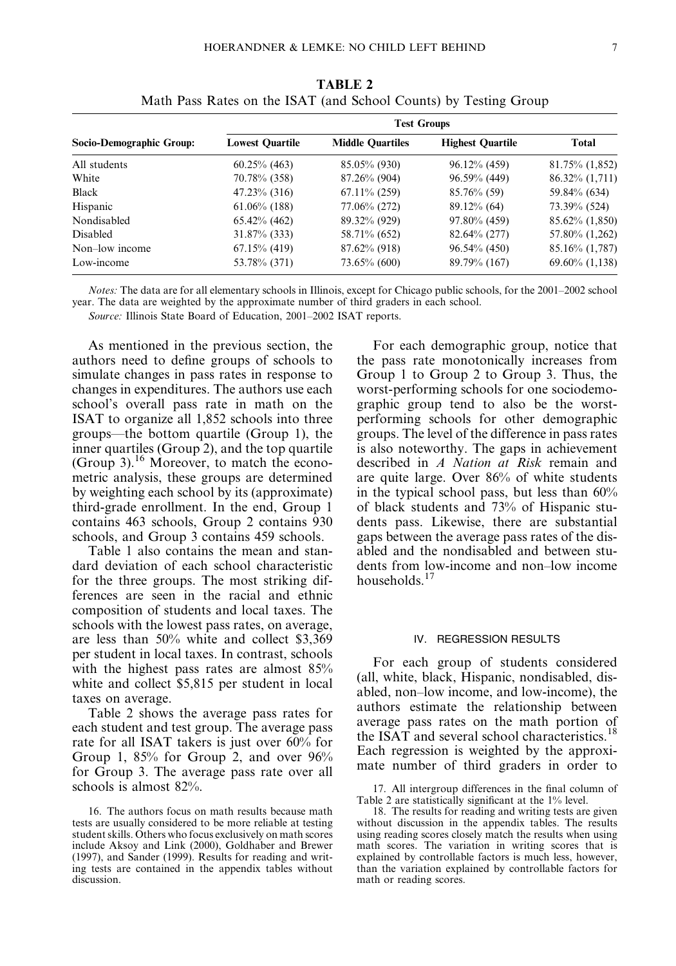| Socio-Demographic Group: | <b>Test Groups</b>     |                         |                         |                     |  |  |  |  |  |
|--------------------------|------------------------|-------------------------|-------------------------|---------------------|--|--|--|--|--|
|                          | <b>Lowest Quartile</b> | <b>Middle Quartiles</b> | <b>Highest Quartile</b> | <b>Total</b>        |  |  |  |  |  |
| All students             | $60.25\%$ (463)        | 85.05% (930)            | 96.12% (459)            | 81.75% (1,852)      |  |  |  |  |  |
| White                    | 70.78% (358)           | 87.26% (904)            | 96.59% (449)            | 86.32\% (1,711)     |  |  |  |  |  |
| Black                    | $47.23\%$ (316)        | $67.11\%$ (259)         | $85.76\%$ (59)          | 59.84% (634)        |  |  |  |  |  |
| Hispanic                 | $61.06\%$ (188)        | 77.06% (272)            | $89.12\%$ (64)          | 73.39% (524)        |  |  |  |  |  |
| Nondisabled              | $65.42\%$ (462)        | 89.32% (929)            | 97.80% (459)            | 85.62% (1,850)      |  |  |  |  |  |
| Disabled                 | $31.87\%$ (333)        | 58.71\% (652)           | $82.64\%$ (277)         | 57.80% (1,262)      |  |  |  |  |  |
| Non-low income           | $67.15\%$ (419)        | $87.62\%$ (918)         | $96.54\%$ (450)         | 85.16% (1,787)      |  |  |  |  |  |
| Low-income               | 53.78% (371)           | 73.65% (600)            | 89.79% (167)            | $69.60\%$ $(1,138)$ |  |  |  |  |  |

TABLE 2 Math Pass Rates on the ISAT (and School Counts) by Testing Group

Notes: The data are for all elementary schools in Illinois, except for Chicago public schools, for the 2001–2002 school year. The data are weighted by the approximate number of third graders in each school.

Source: Illinois State Board of Education, 2001–2002 ISAT reports.

As mentioned in the previous section, the authors need to define groups of schools to simulate changes in pass rates in response to changes in expenditures. The authors use each school's overall pass rate in math on the ISAT to organize all 1,852 schools into three groups—the bottom quartile (Group 1), the inner quartiles (Group 2), and the top quartile (Group 3).<sup>16</sup> Moreover, to match the econometric analysis, these groups are determined by weighting each school by its (approximate) third-grade enrollment. In the end, Group 1 contains 463 schools, Group 2 contains 930 schools, and Group 3 contains 459 schools.

Table 1 also contains the mean and standard deviation of each school characteristic for the three groups. The most striking differences are seen in the racial and ethnic composition of students and local taxes. The schools with the lowest pass rates, on average, are less than 50% white and collect \$3,369 per student in local taxes. In contrast, schools with the highest pass rates are almost 85% white and collect \$5,815 per student in local taxes on average.

Table 2 shows the average pass rates for each student and test group. The average pass rate for all ISAT takers is just over 60% for Group 1,  $85\%$  for Group 2, and over  $96\%$ for Group 3. The average pass rate over all schools is almost 82%.

For each demographic group, notice that the pass rate monotonically increases from Group 1 to Group 2 to Group 3. Thus, the worst-performing schools for one sociodemographic group tend to also be the worstperforming schools for other demographic groups. The level of the difference in pass rates is also noteworthy. The gaps in achievement described in A Nation at Risk remain and are quite large. Over 86% of white students in the typical school pass, but less than 60% of black students and 73% of Hispanic students pass. Likewise, there are substantial gaps between the average pass rates of the disabled and the nondisabled and between students from low-income and non–low income households. $17$ 

# IV. REGRESSION RESULTS

For each group of students considered (all, white, black, Hispanic, nondisabled, disabled, non–low income, and low-income), the authors estimate the relationship between average pass rates on the math portion of the ISAT and several school characteristics.<sup>18</sup> Each regression is weighted by the approximate number of third graders in order to

<sup>16.</sup> The authors focus on math results because math tests are usually considered to be more reliable at testing student skills. Others who focus exclusively on math scores include Aksoy and Link (2000), Goldhaber and Brewer (1997), and Sander (1999). Results for reading and writing tests are contained in the appendix tables without discussion.

<sup>17.</sup> All intergroup differences in the final column of Table 2 are statistically significant at the 1% level.

<sup>18.</sup> The results for reading and writing tests are given without discussion in the appendix tables. The results using reading scores closely match the results when using math scores. The variation in writing scores that is explained by controllable factors is much less, however, than the variation explained by controllable factors for math or reading scores.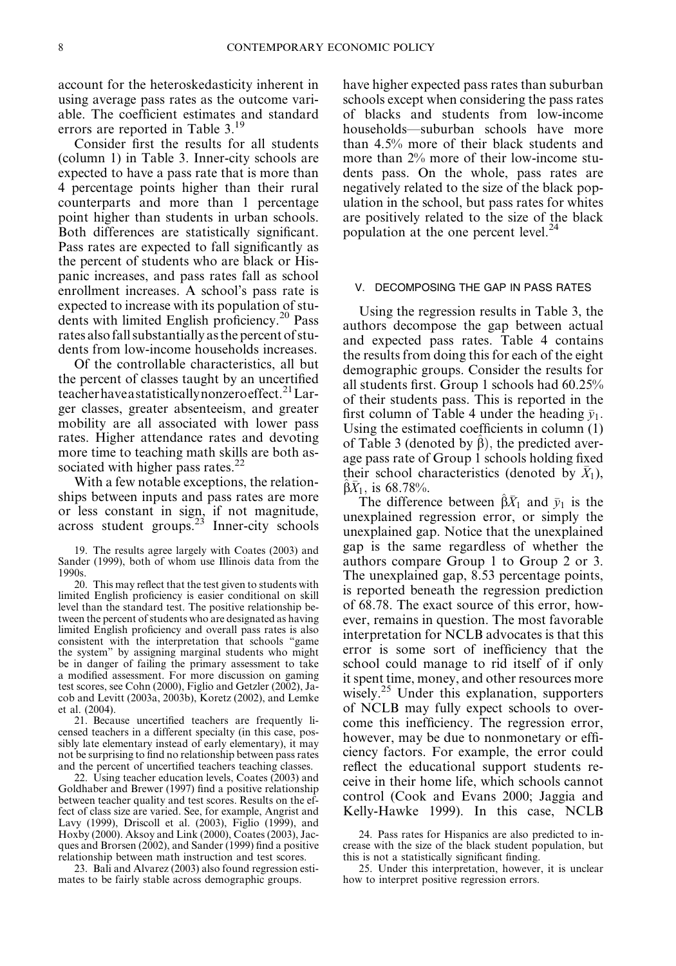account for the heteroskedasticity inherent in using average pass rates as the outcome variable. The coefficient estimates and standard errors are reported in Table 3.<sup>19</sup>

Consider first the results for all students (column 1) in Table 3. Inner-city schools are expected to have a pass rate that is more than 4 percentage points higher than their rural counterparts and more than 1 percentage point higher than students in urban schools. Both differences are statistically significant. Pass rates are expected to fall significantly as the percent of students who are black or Hispanic increases, and pass rates fall as school enrollment increases. A school's pass rate is expected to increase with its population of students with limited English proficiency.<sup>20</sup> Pass rates also fall substantially as the percent of students from low-income households increases.

Of the controllable characteristics, all but the percent of classes taught by an uncertified teacher have a statistically nonzero effect.<sup>21</sup> Larger classes, greater absenteeism, and greater mobility are all associated with lower pass rates. Higher attendance rates and devoting more time to teaching math skills are both associated with higher pass rates. $^{22}$ 

With a few notable exceptions, the relationships between inputs and pass rates are more or less constant in sign, if not magnitude,  $across student groups.<sup>23</sup> Inner-city schools$ 

20. This may reflect that the test given to students with limited English proficiency is easier conditional on skill level than the standard test. The positive relationship between the percent of students who are designated as having limited English proficiency and overall pass rates is also consistent with the interpretation that schools ''game the system'' by assigning marginal students who might be in danger of failing the primary assessment to take a modified assessment. For more discussion on gaming test scores, see Cohn (2000), Figlio and Getzler (2002), Jacob and Levitt (2003a, 2003b), Koretz (2002), and Lemke et al. (2004).

21. Because uncertified teachers are frequently licensed teachers in a different specialty (in this case, possibly late elementary instead of early elementary), it may not be surprising to find no relationship between pass rates and the percent of uncertified teachers teaching classes.

22. Using teacher education levels, Coates (2003) and Goldhaber and Brewer (1997) find a positive relationship between teacher quality and test scores. Results on the effect of class size are varied. See, for example, Angrist and Lavy (1999), Driscoll et al. (2003), Figlio (1999), and Hoxby (2000). Aksoy and Link (2000), Coates (2003), Jacques and Brorsen (2002), and Sander (1999) find a positive relationship between math instruction and test scores.

23. Bali and Alvarez (2003) also found regression estimates to be fairly stable across demographic groups.

have higher expected pass rates than suburban schools except when considering the pass rates of blacks and students from low-income households—suburban schools have more than 4.5% more of their black students and more than 2% more of their low-income students pass. On the whole, pass rates are negatively related to the size of the black population in the school, but pass rates for whites are positively related to the size of the black population at the one percent level.<sup>24</sup>

## V. DECOMPOSING THE GAP IN PASS RATES

Using the regression results in Table 3, the authors decompose the gap between actual and expected pass rates. Table 4 contains the results from doing this for each of the eight demographic groups. Consider the results for all students first. Group 1 schools had 60.25% of their students pass. This is reported in the first column of Table 4 under the heading  $\bar{v}_1$ . Using the estimated coefficients in column (1) of Table 3 (denoted by  $\hat{\beta}$ ), the predicted average pass rate of Group 1 schools holding fixed their school characteristics (denoted by  $\bar{X}_1$ ),  $\beta X_1$ , is 68.78%.

The difference between  $\hat{\beta}\bar{X}_1$  and  $\bar{y}_1$  is the unexplained regression error, or simply the unexplained gap. Notice that the unexplained gap is the same regardless of whether the authors compare Group 1 to Group 2 or 3. The unexplained gap, 8.53 percentage points, is reported beneath the regression prediction of 68.78. The exact source of this error, however, remains in question. The most favorable interpretation for NCLB advocates is that this error is some sort of inefficiency that the school could manage to rid itself of if only it spent time, money, and other resources more wisely.<sup>25</sup> Under this explanation, supporters of NCLB may fully expect schools to overcome this inefficiency. The regression error, however, may be due to nonmonetary or efficiency factors. For example, the error could reflect the educational support students receive in their home life, which schools cannot control (Cook and Evans 2000; Jaggia and Kelly-Hawke 1999). In this case, NCLB

24. Pass rates for Hispanics are also predicted to increase with the size of the black student population, but this is not a statistically significant finding.

25. Under this interpretation, however, it is unclear how to interpret positive regression errors.

<sup>19.</sup> The results agree largely with Coates (2003) and Sander (1999), both of whom use Illinois data from the 1990s.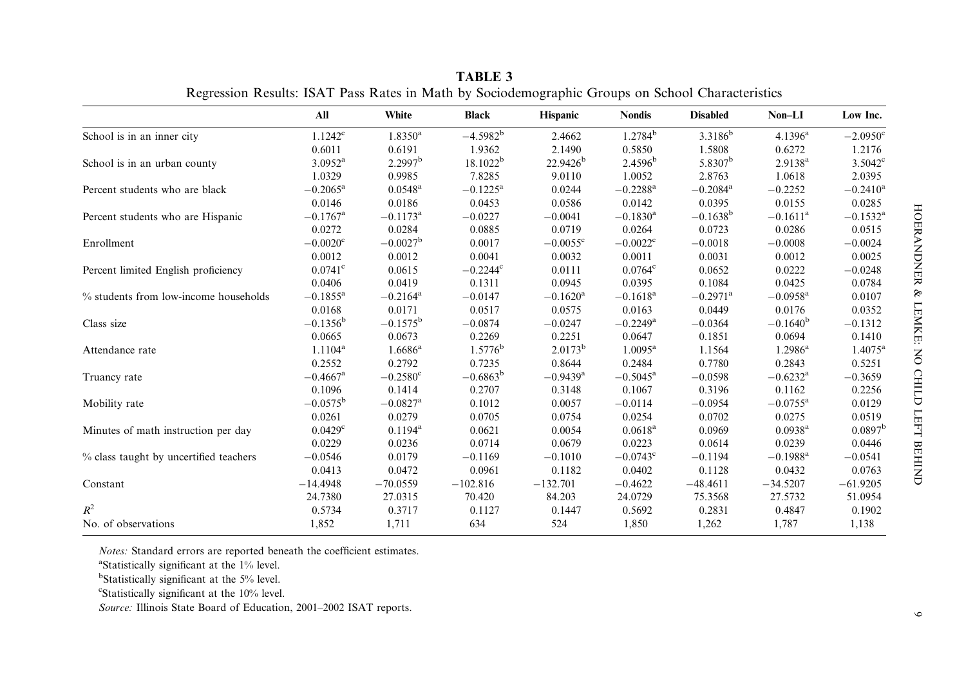|                                        | All                    | White                  | <b>Black</b>      | <b>Hispanic</b>        | <b>Nondis</b>          | <b>Disabled</b>        | $Non-LI$               | Low Inc.            |
|----------------------------------------|------------------------|------------------------|-------------------|------------------------|------------------------|------------------------|------------------------|---------------------|
| School is in an inner city             | $1.1242^c$             | $1.8350^a$             | $-4.5982^{b}$     | 2.4662                 | $1.2784^{b}$           | 3.3186 <sup>b</sup>    | $4.1396^a$             | $-2.0950^{\circ}$   |
|                                        | 0.6011                 | 0.6191                 | 1.9362            | 2.1490                 | 0.5850                 | 1.5808                 | 0.6272                 | 1.2176              |
| School is in an urban county           | $3.0952^{\rm a}$       | 2.2997 <sup>b</sup>    | $18.1022^b$       | $22.9426^b$            | $2.4596^b$             | 5.8307 <sup>b</sup>    | $2.9138^{a}$           | $3.5042^{\circ}$    |
|                                        | 1.0329                 | 0.9985                 | 7.8285            | 9.0110                 | 1.0052                 | 2.8763                 | 1.0618                 | 2.0395              |
| Percent students who are black         | $-0.2065^{\rm a}$      | $0.0548^{\rm a}$       | $-0.1225^{\rm a}$ | 0.0244                 | $-0.2288$ <sup>a</sup> | $-0.2084$ <sup>a</sup> | $-0.2252$              | $-0.2410^{\rm a}$   |
|                                        | 0.0146                 | 0.0186                 | 0.0453            | 0.0586                 | 0.0142                 | 0.0395                 | 0.0155                 | 0.0285              |
| Percent students who are Hispanic      | $-0.1767$ <sup>a</sup> | $-0.1173$ <sup>a</sup> | $-0.0227$         | $-0.0041$              | $-0.1830$ <sup>a</sup> | $-0.1638^{\rm b}$      | $-0.1611$ <sup>a</sup> | $-0.1532^{\rm a}$   |
|                                        | 0.0272                 | 0.0284                 | 0.0885            | 0.0719                 | 0.0264                 | 0.0723                 | 0.0286                 | 0.0515              |
| Enrollment                             | $-0.0020^{\circ}$      | $-0.0027^{\rm b}$      | 0.0017            | $-0.0055^{\circ}$      | $-0.0022^{\circ}$      | $-0.0018$              | $-0.0008$              | $-0.0024$           |
|                                        | 0.0012                 | 0.0012                 | 0.0041            | 0.0032                 | 0.0011                 | 0.0031                 | 0.0012                 | 0.0025              |
| Percent limited English proficiency    | $0.0741$ °             | 0.0615                 | $-0.2244$ °       | 0.0111                 | $0.0764^{\circ}$       | 0.0652                 | 0.0222                 | $-0.0248$           |
|                                        | 0.0406                 | 0.0419                 | 0.1311            | 0.0945                 | 0.0395                 | 0.1084                 | 0.0425                 | 0.0784              |
| % students from low-income households  | $-0.1855^{\rm a}$      | $-0.2164$ <sup>a</sup> | $-0.0147$         | $-0.1620$ <sup>a</sup> | $-0.1618$ <sup>a</sup> | $-0.2971$ <sup>a</sup> | $-0.0958$ <sup>a</sup> | 0.0107              |
|                                        | 0.0168                 | 0.0171                 | 0.0517            | 0.0575                 | 0.0163                 | 0.0449                 | 0.0176                 | 0.0352              |
| Class size                             | $-0.1356^{\rm b}$      | $-0.1575^{\rm b}$      | $-0.0874$         | $-0.0247$              | $-0.2249$ <sup>a</sup> | $-0.0364$              | $-0.1640^{\rm b}$      | $-0.1312$           |
|                                        | 0.0665                 | 0.0673                 | 0.2269            | 0.2251                 | 0.0647                 | 0.1851                 | 0.0694                 | 0.1410              |
| Attendance rate                        | $1.1104^a$             | $1.6686^{\rm a}$       | $1.5776^b$        | $2.0173^b$             | $1.0095^{\rm a}$       | 1.1564                 | $1.2986^{\rm a}$       | $1.4075^{\rm a}$    |
|                                        | 0.2552                 | 0.2792                 | 0.7235            | 0.8644                 | 0.2484                 | 0.7780                 | 0.2843                 | 0.5251              |
| Truancy rate                           | $-0.4667$ <sup>a</sup> | $-0.2580^{\circ}$      | $-0.6863^{\rm b}$ | $-0.9439$ <sup>a</sup> | $-0.5045^{\rm a}$      | $-0.0598$              | $-0.6232$ <sup>a</sup> | $-0.3659$           |
|                                        | 0.1096                 | 0.1414                 | 0.2707            | 0.3148                 | 0.1067                 | 0.3196                 | 0.1162                 | 0.2256              |
| Mobility rate                          | $-0.0575^{\rm b}$      | $-0.0827$ <sup>a</sup> | 0.1012            | 0.0057                 | $-0.0114$              | $-0.0954$              | $-0.0755^{\rm a}$      | 0.0129              |
|                                        | 0.0261                 | 0.0279                 | 0.0705            | 0.0754                 | 0.0254                 | 0.0702                 | 0.0275                 | 0.0519              |
| Minutes of math instruction per day    | $0.0429^{\circ}$       | $0.1194^a$             | 0.0621            | 0.0054                 | $0.0618^{\rm a}$       | 0.0969                 | $0.0938$ <sup>a</sup>  | 0.0897 <sup>b</sup> |
|                                        | 0.0229                 | 0.0236                 | 0.0714            | 0.0679                 | 0.0223                 | 0.0614                 | 0.0239                 | 0.0446              |
| % class taught by uncertified teachers | $-0.0546$              | 0.0179                 | $-0.1169$         | $-0.1010$              | $-0.0743^{\circ}$      | $-0.1194$              | $-0.1988$ <sup>a</sup> | $-0.0541$           |
|                                        | 0.0413                 | 0.0472                 | 0.0961            | 0.1182                 | 0.0402                 | 0.1128                 | 0.0432                 | 0.0763              |
| Constant                               | $-14.4948$             | $-70.0559$             | $-102.816$        | $-132.701$             | $-0.4622$              | $-48.4611$             | $-34.5207$             | $-61.9205$          |
|                                        | 24.7380                | 27.0315                | 70.420            | 84.203                 | 24.0729                | 75.3568                | 27.5732                | 51.0954             |
| $R^2$                                  | 0.5734                 | 0.3717                 | 0.1127            | 0.1447                 | 0.5692                 | 0.2831                 | 0.4847                 | 0.1902              |
| No. of observations                    | 1,852                  | 1,711                  | 634               | 524                    | 1,850                  | 1,262                  | 1,787                  | 1,138               |

TABLE 3Regression Results: ISAT Pass Rates in Math by Sociodemographic Groups on School Characteristics

*Notes:* Standard errors are reported beneath the coefficient estimates.

<sup>a</sup>Statistically significant at the 1% level.

<sup>b</sup>Statistically significant at the 5% level.

 $\text{``Statistically significant at the } 10\% \text{ level.}$ 

Source: Illinois State Board of Education, 2001–2002 ISAT reports.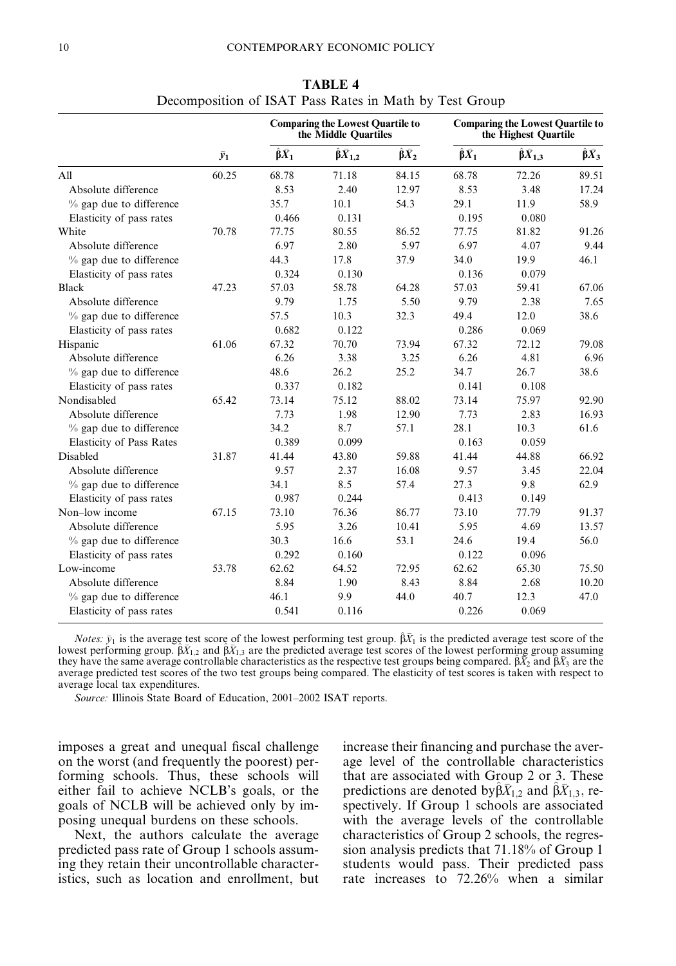|                                 |             |                         | <b>Comparing the Lowest Quartile to</b><br>the Middle Quartiles |                         |                         | <b>Comparing the Lowest Quartile to</b><br>the Highest Quartile |                         |  |  |
|---------------------------------|-------------|-------------------------|-----------------------------------------------------------------|-------------------------|-------------------------|-----------------------------------------------------------------|-------------------------|--|--|
|                                 | $\bar{y}_1$ | $\hat{\beta} \bar{X}_1$ | $\hat{\beta}\bar{X}_{1,2}$                                      | $\hat{\beta} \bar{X}_2$ | $\hat{\beta} \bar{X}_1$ | $\hat{\beta} \bar{X}_{1,3}$                                     | $\hat{\beta} \bar{X}_3$ |  |  |
| A11                             | 60.25       | 68.78                   | 71.18                                                           | 84.15                   | 68.78                   | 72.26                                                           | 89.51                   |  |  |
| Absolute difference             |             | 8.53                    | 2.40                                                            | 12.97                   | 8.53                    | 3.48                                                            | 17.24                   |  |  |
| % gap due to difference         |             | 35.7                    | 10.1                                                            | 54.3                    | 29.1                    | 11.9                                                            | 58.9                    |  |  |
| Elasticity of pass rates        |             | 0.466                   | 0.131                                                           |                         | 0.195                   | 0.080                                                           |                         |  |  |
| White                           | 70.78       | 77.75                   | 80.55                                                           | 86.52                   | 77.75                   | 81.82                                                           | 91.26                   |  |  |
| Absolute difference             |             | 6.97                    | 2.80                                                            | 5.97                    | 6.97                    | 4.07                                                            | 9.44                    |  |  |
| % gap due to difference         |             | 44.3                    | 17.8                                                            | 37.9                    | 34.0                    | 19.9                                                            | 46.1                    |  |  |
| Elasticity of pass rates        |             | 0.324                   | 0.130                                                           |                         | 0.136                   | 0.079                                                           |                         |  |  |
| Black                           | 47.23       | 57.03                   | 58.78                                                           | 64.28                   | 57.03                   | 59.41                                                           | 67.06                   |  |  |
| Absolute difference             |             | 9.79                    | 1.75                                                            | 5.50                    | 9.79                    | 2.38                                                            | 7.65                    |  |  |
| $%$ gap due to difference       |             | 57.5                    | 10.3                                                            | 32.3                    | 49.4                    | 12.0                                                            | 38.6                    |  |  |
| Elasticity of pass rates        |             | 0.682                   | 0.122                                                           |                         | 0.286                   | 0.069                                                           |                         |  |  |
| Hispanic                        | 61.06       | 67.32                   | 70.70                                                           | 73.94                   | 67.32                   | 72.12                                                           | 79.08                   |  |  |
| Absolute difference             |             | 6.26                    | 3.38                                                            | 3.25                    | 6.26                    | 4.81                                                            | 6.96                    |  |  |
| % gap due to difference         |             | 48.6                    | 26.2                                                            | 25.2                    | 34.7                    | 26.7                                                            | 38.6                    |  |  |
| Elasticity of pass rates        |             | 0.337                   | 0.182                                                           |                         | 0.141                   | 0.108                                                           |                         |  |  |
| Nondisabled                     | 65.42       | 73.14                   | 75.12                                                           | 88.02                   | 73.14                   | 75.97                                                           | 92.90                   |  |  |
| Absolute difference             |             | 7.73                    | 1.98                                                            | 12.90                   | 7.73                    | 2.83                                                            | 16.93                   |  |  |
| % gap due to difference         |             | 34.2                    | 8.7                                                             | 57.1                    | 28.1                    | 10.3                                                            | 61.6                    |  |  |
| <b>Elasticity of Pass Rates</b> |             | 0.389                   | 0.099                                                           |                         | 0.163                   | 0.059                                                           |                         |  |  |
| Disabled                        | 31.87       | 41.44                   | 43.80                                                           | 59.88                   | 41.44                   | 44.88                                                           | 66.92                   |  |  |
| Absolute difference             |             | 9.57                    | 2.37                                                            | 16.08                   | 9.57                    | 3.45                                                            | 22.04                   |  |  |
| % gap due to difference         |             | 34.1                    | 8.5                                                             | 57.4                    | 27.3                    | 9.8                                                             | 62.9                    |  |  |
| Elasticity of pass rates        |             | 0.987                   | 0.244                                                           |                         | 0.413                   | 0.149                                                           |                         |  |  |
| Non-low income                  | 67.15       | 73.10                   | 76.36                                                           | 86.77                   | 73.10                   | 77.79                                                           | 91.37                   |  |  |
| Absolute difference             |             | 5.95                    | 3.26                                                            | 10.41                   | 5.95                    | 4.69                                                            | 13.57                   |  |  |
| $%$ gap due to difference       |             | 30.3                    | 16.6                                                            | 53.1                    | 24.6                    | 19.4                                                            | 56.0                    |  |  |
| Elasticity of pass rates        |             | 0.292                   | 0.160                                                           |                         | 0.122                   | 0.096                                                           |                         |  |  |
| Low-income                      | 53.78       | 62.62                   | 64.52                                                           | 72.95                   | 62.62                   | 65.30                                                           | 75.50                   |  |  |
| Absolute difference             |             | 8.84                    | 1.90                                                            | 8.43                    | 8.84                    | 2.68                                                            | 10.20                   |  |  |
| % gap due to difference         |             | 46.1                    | 9.9                                                             | 44.0                    | 40.7                    | 12.3                                                            | 47.0                    |  |  |
| Elasticity of pass rates        |             | 0.541                   | 0.116                                                           |                         | 0.226                   | 0.069                                                           |                         |  |  |

TABLE 4 Decomposition of ISAT Pass Rates in Math by Test Group

*Notes:*  $\bar{y}_1$  is the average test score of the lowest performing test group.  $\hat{\beta} \bar{X}_1$  is the predicted average test score of the lowest performing group.  $\hat{\beta}\bar{X}_{1,2}$  and  $\hat{\beta}\bar{X}_{1,3}$  are the predicted average test scores of the lowest performing group assuming they have the same average controllable characteristics as the respective test groups being compared.  $\hat{\beta}X_2$  and  $\hat{\beta}X_3$  are the average predicted test scores of the two test groups being compared. The elasticity of test scores is taken with respect to average local tax expenditures.

Source: Illinois State Board of Education, 2001–2002 ISAT reports.

imposes a great and unequal fiscal challenge on the worst (and frequently the poorest) performing schools. Thus, these schools will either fail to achieve NCLB's goals, or the goals of NCLB will be achieved only by imposing unequal burdens on these schools.

Next, the authors calculate the average predicted pass rate of Group 1 schools assuming they retain their uncontrollable characteristics, such as location and enrollment, but increase their financing and purchase the average level of the controllable characteristics that are associated with Group 2 or 3. These predictions are denoted by  $\hat{\beta}\bar{X}_{1,2}$  and  $\hat{\beta}\bar{X}_{1,3}$ , respectively. If Group 1 schools are associated with the average levels of the controllable characteristics of Group 2 schools, the regression analysis predicts that 71.18% of Group 1 students would pass. Their predicted pass rate increases to 72.26% when a similar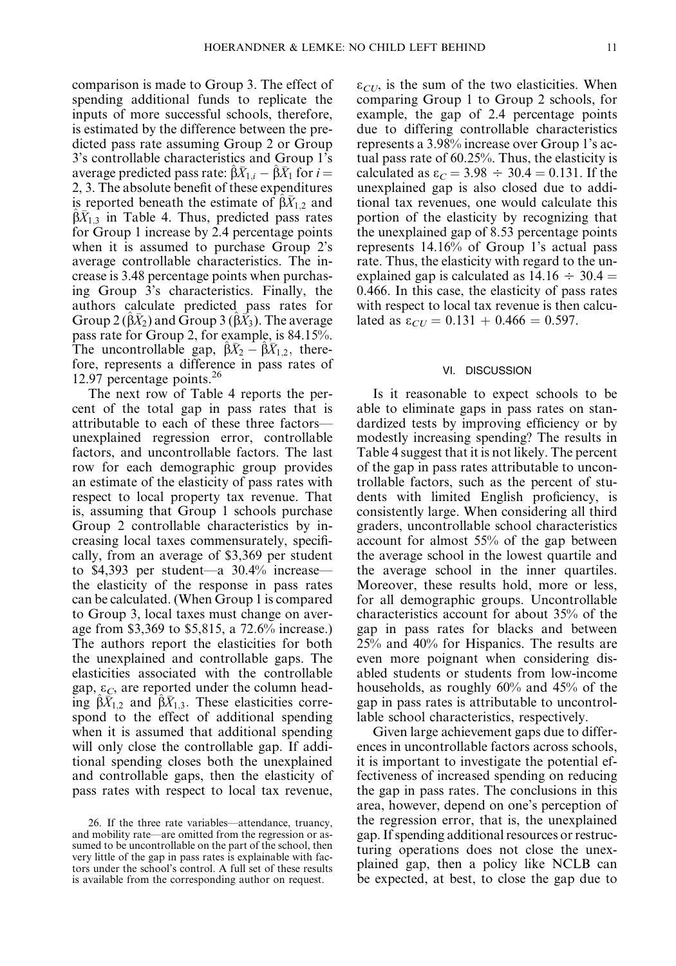comparison is made to Group 3. The effect of spending additional funds to replicate the inputs of more successful schools, therefore, is estimated by the difference between the predicted pass rate assuming Group 2 or Group 3's controllable characteristics and Group 1's average predicted pass rate:  $\beta X_{1,i} - \beta X_1$  for  $i =$ 2, 3. The absolute benefit of these expenditures is reported beneath the estimate of  $\hat{\beta}\bar{X}_{1,2}$  and  $\beta X_{1,3}$  in Table 4. Thus, predicted pass rates for Group 1 increase by 2.4 percentage points when it is assumed to purchase Group 2's average controllable characteristics. The increase is 3.48 percentage points when purchasing Group 3's characteristics. Finally, the authors calculate predicted pass rates for Group 2 ( $(\hat{\beta}\bar{X}_2)$  and Group 3 ( $(\hat{\beta}\bar{X}_3)$ . The average pass rate for Group 2, for example, is 84.15%. The uncontrollable gap,  $\hat{\beta}\bar{X}_2 - \hat{\beta}\bar{X}_{1,2}$ , therefore, represents a difference in pass rates of 12.97 percentage points.<sup>26</sup>

The next row of Table 4 reports the percent of the total gap in pass rates that is attributable to each of these three factors unexplained regression error, controllable factors, and uncontrollable factors. The last row for each demographic group provides an estimate of the elasticity of pass rates with respect to local property tax revenue. That is, assuming that Group 1 schools purchase Group 2 controllable characteristics by increasing local taxes commensurately, specifically, from an average of \$3,369 per student to \$4,393 per student—a 30.4% increase the elasticity of the response in pass rates can be calculated. (When Group 1 is compared to Group 3, local taxes must change on average from \$3,369 to \$5,815, a 72.6% increase.) The authors report the elasticities for both the unexplained and controllable gaps. The elasticities associated with the controllable gap,  $\varepsilon_c$ , are reported under the column heading  $\beta \bar{X}_{1,2}$  and  $\beta \bar{X}_{1,3}$ . These elasticities correspond to the effect of additional spending when it is assumed that additional spending will only close the controllable gap. If additional spending closes both the unexplained and controllable gaps, then the elasticity of pass rates with respect to local tax revenue,  $\varepsilon_{CU}$ , is the sum of the two elasticities. When comparing Group 1 to Group 2 schools, for example, the gap of 2.4 percentage points due to differing controllable characteristics represents a 3.98% increase over Group 1's actual pass rate of 60.25%. Thus, the elasticity is calculated as  $\varepsilon_c = 3.98 \div 30.4 = 0.131$ . If the unexplained gap is also closed due to additional tax revenues, one would calculate this portion of the elasticity by recognizing that the unexplained gap of 8.53 percentage points represents 14.16% of Group 1's actual pass rate. Thus, the elasticity with regard to the unexplained gap is calculated as  $14.16 \div 30.4 =$ 0.466. In this case, the elasticity of pass rates with respect to local tax revenue is then calculated as  $\varepsilon_{CI} = 0.131 + 0.466 = 0.597$ .

#### VI. DISCUSSION

Is it reasonable to expect schools to be able to eliminate gaps in pass rates on standardized tests by improving efficiency or by modestly increasing spending? The results in Table 4 suggest that it is not likely. The percent of the gap in pass rates attributable to uncontrollable factors, such as the percent of students with limited English proficiency, is consistently large. When considering all third graders, uncontrollable school characteristics account for almost 55% of the gap between the average school in the lowest quartile and the average school in the inner quartiles. Moreover, these results hold, more or less, for all demographic groups. Uncontrollable characteristics account for about 35% of the gap in pass rates for blacks and between 25% and 40% for Hispanics. The results are even more poignant when considering disabled students or students from low-income households, as roughly 60% and 45% of the gap in pass rates is attributable to uncontrollable school characteristics, respectively.

Given large achievement gaps due to differences in uncontrollable factors across schools, it is important to investigate the potential effectiveness of increased spending on reducing the gap in pass rates. The conclusions in this area, however, depend on one's perception of the regression error, that is, the unexplained gap. If spending additional resources or restructuring operations does not close the unexplained gap, then a policy like NCLB can be expected, at best, to close the gap due to

<sup>26.</sup> If the three rate variables—attendance, truancy, and mobility rate—are omitted from the regression or assumed to be uncontrollable on the part of the school, then very little of the gap in pass rates is explainable with factors under the school's control. A full set of these results is available from the corresponding author on request.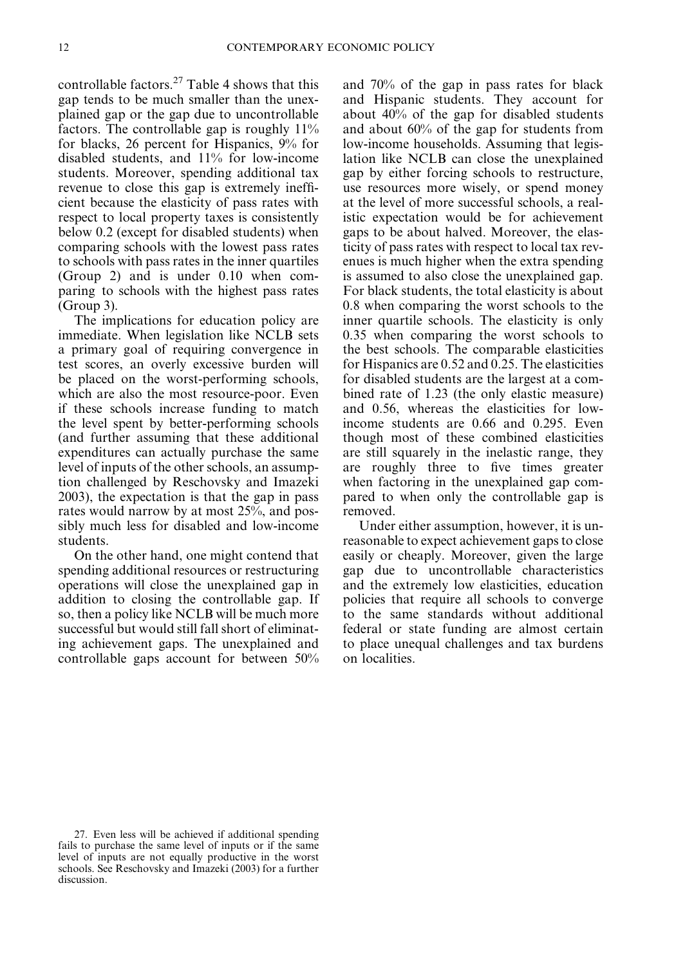controllable factors. $27$  Table 4 shows that this gap tends to be much smaller than the unexplained gap or the gap due to uncontrollable factors. The controllable gap is roughly 11% for blacks, 26 percent for Hispanics, 9% for disabled students, and 11% for low-income students. Moreover, spending additional tax revenue to close this gap is extremely inefficient because the elasticity of pass rates with respect to local property taxes is consistently below 0.2 (except for disabled students) when comparing schools with the lowest pass rates to schools with pass rates in the inner quartiles (Group 2) and is under 0.10 when comparing to schools with the highest pass rates (Group 3).

The implications for education policy are immediate. When legislation like NCLB sets a primary goal of requiring convergence in test scores, an overly excessive burden will be placed on the worst-performing schools, which are also the most resource-poor. Even if these schools increase funding to match the level spent by better-performing schools (and further assuming that these additional expenditures can actually purchase the same level of inputs of the other schools, an assumption challenged by Reschovsky and Imazeki 2003), the expectation is that the gap in pass rates would narrow by at most 25%, and possibly much less for disabled and low-income students.

On the other hand, one might contend that spending additional resources or restructuring operations will close the unexplained gap in addition to closing the controllable gap. If so, then a policy like NCLB will be much more successful but would still fall short of eliminating achievement gaps. The unexplained and controllable gaps account for between 50%

and 70% of the gap in pass rates for black and Hispanic students. They account for about 40% of the gap for disabled students and about 60% of the gap for students from low-income households. Assuming that legislation like NCLB can close the unexplained gap by either forcing schools to restructure, use resources more wisely, or spend money at the level of more successful schools, a realistic expectation would be for achievement gaps to be about halved. Moreover, the elasticity of pass rates with respect to local tax revenues is much higher when the extra spending is assumed to also close the unexplained gap. For black students, the total elasticity is about 0.8 when comparing the worst schools to the inner quartile schools. The elasticity is only 0.35 when comparing the worst schools to the best schools. The comparable elasticities for Hispanics are 0.52 and 0.25. The elasticities for disabled students are the largest at a combined rate of 1.23 (the only elastic measure) and 0.56, whereas the elasticities for lowincome students are 0.66 and 0.295. Even though most of these combined elasticities are still squarely in the inelastic range, they are roughly three to five times greater when factoring in the unexplained gap compared to when only the controllable gap is removed.

Under either assumption, however, it is unreasonable to expect achievement gaps to close easily or cheaply. Moreover, given the large gap due to uncontrollable characteristics and the extremely low elasticities, education policies that require all schools to converge to the same standards without additional federal or state funding are almost certain to place unequal challenges and tax burdens on localities.

<sup>27.</sup> Even less will be achieved if additional spending fails to purchase the same level of inputs or if the same level of inputs are not equally productive in the worst schools. See Reschovsky and Imazeki (2003) for a further discussion.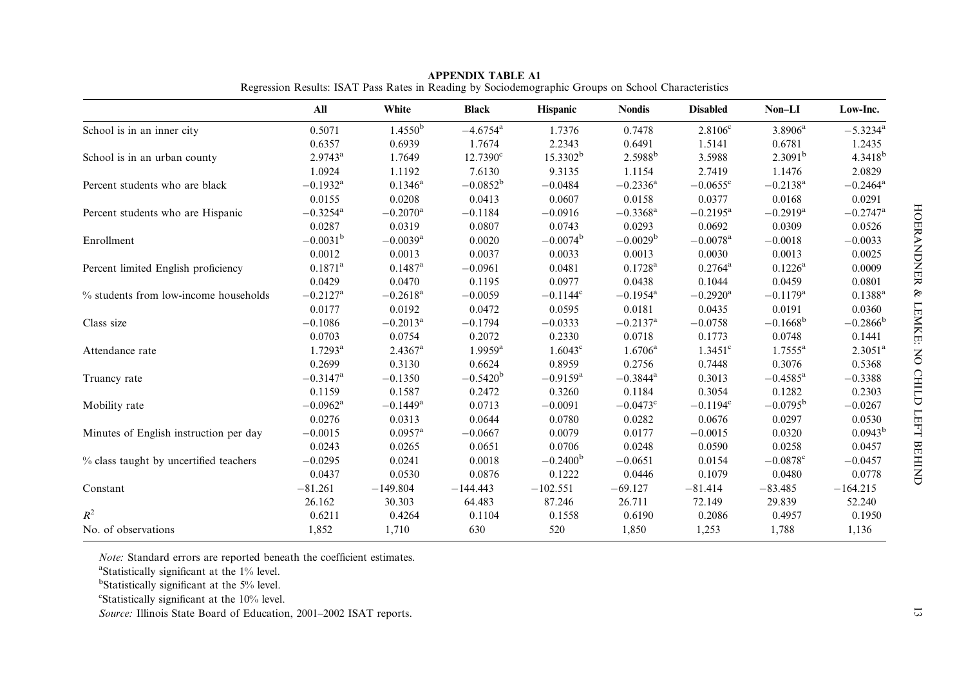|                                        | All                    | White                  | <b>Black</b>           | <b>Hispanic</b>        | <b>Nondis</b>          | <b>Disabled</b>        | Non-LI                 | Low-Inc.               |
|----------------------------------------|------------------------|------------------------|------------------------|------------------------|------------------------|------------------------|------------------------|------------------------|
| School is in an inner city             | 0.5071                 | 1.4550 <sup>b</sup>    | $-4.6754$ <sup>a</sup> | 1.7376                 | 0.7478                 | $2.8106^{\circ}$       | $3.8906^a$             | $-5.3234$ <sup>a</sup> |
|                                        | 0.6357                 | 0.6939                 | 1.7674                 | 2.2343                 | 0.6491                 | 1.5141                 | 0.6781                 | 1.2435                 |
| School is in an urban county           | $2.9743^a$             | 1.7649                 | $12.7390^{\circ}$      | $15.3302^b$            | 2.5988 <sup>b</sup>    | 3.5988                 | 2.3091 <sup>b</sup>    | 4.3418 <sup>b</sup>    |
|                                        | 1.0924                 | 1.1192                 | 7.6130                 | 9.3135                 | 1.1154                 | 2.7419                 | 1.1476                 | 2.0829                 |
| Percent students who are black         | $-0.1932$ <sup>a</sup> | $0.1346^{\rm a}$       | $-0.0852^{\rm b}$      | $-0.0484$              | $-0.2336^{\rm a}$      | $-0.0655^{\circ}$      | $-0.2138$ <sup>a</sup> | $-0.2464$ <sup>a</sup> |
|                                        | 0.0155                 | 0.0208                 | 0.0413                 | 0.0607                 | 0.0158                 | 0.0377                 | 0.0168                 | 0.0291                 |
| Percent students who are Hispanic      | $-0.3254$ <sup>a</sup> | $-0.2070$ <sup>a</sup> | $-0.1184$              | $-0.0916$              | $-0.3368$ <sup>a</sup> | $-0.2195^{\rm a}$      | $-0.2919$ <sup>a</sup> | $-0.2747$ <sup>a</sup> |
|                                        | 0.0287                 | 0.0319                 | 0.0807                 | 0.0743                 | 0.0293                 | 0.0692                 | 0.0309                 | 0.0526                 |
| Enrollment                             | $-0.0031^{\rm b}$      | $-0.0039$ <sup>a</sup> | 0.0020                 | $-0.0074^{\rm b}$      | $-0.0029b$             | $-0.0078$ <sup>a</sup> | $-0.0018$              | $-0.0033$              |
|                                        | 0.0012                 | 0.0013                 | 0.0037                 | 0.0033                 | 0.0013                 | 0.0030                 | 0.0013                 | 0.0025                 |
| Percent limited English proficiency    | $0.1871$ <sup>a</sup>  | $0.1487$ <sup>a</sup>  | $-0.0961$              | 0.0481                 | $0.1728$ <sup>a</sup>  | $0.2764^{\rm a}$       | $0.1226^{\rm a}$       | 0.0009                 |
|                                        | 0.0429                 | 0.0470                 | 0.1195                 | 0.0977                 | 0.0438                 | 0.1044                 | 0.0459                 | 0.0801                 |
| % students from low-income households  | $-0.2127$ <sup>a</sup> | $-0.2618$ <sup>a</sup> | $-0.0059$              | $-0.1144^c$            | $-0.1954$ <sup>a</sup> | $-0.2920$ <sup>a</sup> | $-0.1179$ <sup>a</sup> | $0.1388^{a}$           |
|                                        | 0.0177                 | 0.0192                 | 0.0472                 | 0.0595                 | 0.0181                 | 0.0435                 | 0.0191                 | 0.0360                 |
| Class size                             | $-0.1086$              | $-0.2013^{\rm a}$      | $-0.1794$              | $-0.0333$              | $-0.2137$ <sup>a</sup> | $-0.0758$              | $-0.1668^{\rm b}$      | $-0.2866^{\rm b}$      |
|                                        | 0.0703                 | 0.0754                 | 0.2072                 | 0.2330                 | 0.0718                 | 0.1773                 | 0.0748                 | 0.1441                 |
| Attendance rate                        | $1.7293^{\rm a}$       | $2.4367$ <sup>a</sup>  | $1.9959$ <sup>a</sup>  | $1.6043^c$             | $1.6706^{\rm a}$       | $1.3451$ <sup>c</sup>  | $1.7555^{\rm a}$       | $2.3051$ <sup>a</sup>  |
|                                        | 0.2699                 | 0.3130                 | 0.6624                 | 0.8959                 | 0.2756                 | 0.7448                 | 0.3076                 | 0.5368                 |
| Truancy rate                           | $-0.3147$ <sup>a</sup> | $-0.1350$              | $-0.5420^{\rm b}$      | $-0.9159$ <sup>a</sup> | $-0.3844$ <sup>a</sup> | 0.3013                 | $-0.4585$ <sup>a</sup> | $-0.3388$              |
|                                        | 0.1159                 | 0.1587                 | 0.2472                 | 0.3260                 | 0.1184                 | 0.3054                 | 0.1282                 | 0.2303                 |
| Mobility rate                          | $-0.0962$ <sup>a</sup> | $-0.1449$ <sup>a</sup> | 0.0713                 | $-0.0091$              | $-0.0473^{\circ}$      | $-0.1194^{\circ}$      | $-0.0795^{\rm b}$      | $-0.0267$              |
|                                        | 0.0276                 | 0.0313                 | 0.0644                 | 0.0780                 | 0.0282                 | 0.0676                 | 0.0297                 | 0.0530                 |
| Minutes of English instruction per day | $-0.0015$              | $0.0957$ <sup>a</sup>  | $-0.0667$              | 0.0079                 | 0.0177                 | $-0.0015$              | 0.0320                 | $0.0943^{b}$           |
|                                        | 0.0243                 | 0.0265                 | 0.0651                 | 0.0706                 | 0.0248                 | 0.0590                 | 0.0258                 | 0.0457                 |
| % class taught by uncertified teachers | $-0.0295$              | 0.0241                 | 0.0018                 | $-0.2400^{\rm b}$      | $-0.0651$              | 0.0154                 | $-0.0878$ <sup>c</sup> | $-0.0457$              |
|                                        | 0.0437                 | 0.0530                 | 0.0876                 | 0.1222                 | 0.0446                 | 0.1079                 | 0.0480                 | 0.0778                 |
| Constant                               | $-81.261$              | $-149.804$             | $-144.443$             | $-102.551$             | $-69.127$              | $-81.414$              | $-83.485$              | $-164.215$             |
|                                        | 26.162                 | 30.303                 | 64.483                 | 87.246                 | 26.711                 | 72.149                 | 29.839                 | 52.240                 |
| $R^2$                                  | 0.6211                 | 0.4264                 | 0.1104                 | 0.1558                 | 0.6190                 | 0.2086                 | 0.4957                 | 0.1950                 |
| No. of observations                    | 1,852                  | 1,710                  | 630                    | 520                    | 1,850                  | 1,253                  | 1,788                  | 1,136                  |

APPENDIX TABLE A1Regression Results: ISAT Pass Rates in Reading by Sociodemographic Groups on School Characteristics

*Note:* Standard errors are reported beneath the coefficient estimates.

<sup>a</sup>Statistically significant at the 1% level.

<sup>b</sup>Statistically significant at the 5% level.

 $\text{``Statistically significant at the } 10\% \text{ level.}$ 

Source: Illinois State Board of Education, 2001–2002 ISAT reports.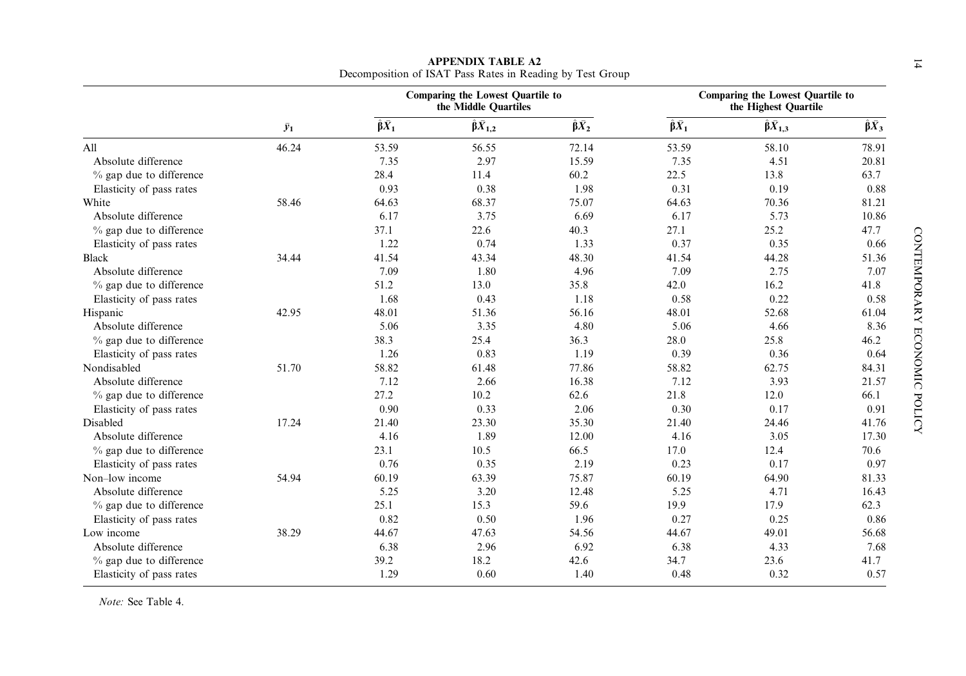|                           |             |                         | <b>Comparing the Lowest Quartile to</b><br>the Middle Quartiles |                         |                         | <b>Comparing the Lowest Quartile to</b><br>the Highest Quartile |                         |
|---------------------------|-------------|-------------------------|-----------------------------------------------------------------|-------------------------|-------------------------|-----------------------------------------------------------------|-------------------------|
|                           | $\bar{y}_1$ | $\hat{\beta} \bar{X}_1$ | $\hat{\beta}\bar{X}_{1,2}$                                      | $\hat{\beta} \bar{X}_2$ | $\hat{\beta} \bar{X}_1$ | $\hat{\beta}\bar{X}_{1,3}$                                      | $\hat{\beta} \bar{X}_3$ |
| All                       | 46.24       | 53.59                   | 56.55                                                           | 72.14                   | 53.59                   | 58.10                                                           | 78.91                   |
| Absolute difference       |             | 7.35                    | 2.97                                                            | 15.59                   | 7.35                    | 4.51                                                            | 20.81                   |
| $%$ gap due to difference |             | 28.4                    | 11.4                                                            | 60.2                    | 22.5                    | 13.8                                                            | 63.7                    |
| Elasticity of pass rates  |             | 0.93                    | 0.38                                                            | 1.98                    | 0.31                    | 0.19                                                            | 0.88                    |
| White                     | 58.46       | 64.63                   | 68.37                                                           | 75.07                   | 64.63                   | 70.36                                                           | 81.21                   |
| Absolute difference       |             | 6.17                    | 3.75                                                            | 6.69                    | 6.17                    | 5.73                                                            | 10.86                   |
| % gap due to difference   |             | 37.1                    | 22.6                                                            | 40.3                    | 27.1                    | 25.2                                                            | 47.7                    |
| Elasticity of pass rates  |             | 1.22                    | 0.74                                                            | 1.33                    | 0.37                    | 0.35                                                            | 0.66                    |
| <b>Black</b>              | 34.44       | 41.54                   | 43.34                                                           | 48.30                   | 41.54                   | 44.28                                                           | 51.36                   |
| Absolute difference       |             | 7.09                    | 1.80                                                            | 4.96                    | 7.09                    | 2.75                                                            | 7.07                    |
| % gap due to difference   |             | 51.2                    | 13.0                                                            | 35.8                    | 42.0                    | 16.2                                                            | 41.8                    |
| Elasticity of pass rates  |             | 1.68                    | 0.43                                                            | 1.18                    | 0.58                    | 0.22                                                            | 0.58                    |
| Hispanic                  | 42.95       | 48.01                   | 51.36                                                           | 56.16                   | 48.01                   | 52.68                                                           | 61.04                   |
| Absolute difference       |             | 5.06                    | 3.35                                                            | 4.80                    | 5.06                    | 4.66                                                            | 8.36                    |
| % gap due to difference   |             | 38.3                    | 25.4                                                            | 36.3                    | 28.0                    | 25.8                                                            | 46.2                    |
| Elasticity of pass rates  |             | 1.26                    | 0.83                                                            | 1.19                    | 0.39                    | 0.36                                                            | 0.64                    |
| Nondisabled               | 51.70       | 58.82                   | 61.48                                                           | 77.86                   | 58.82                   | 62.75                                                           | 84.31                   |
| Absolute difference       |             | 7.12                    | 2.66                                                            | 16.38                   | 7.12                    | 3.93                                                            | 21.57                   |
| $%$ gap due to difference |             | 27.2                    | 10.2                                                            | 62.6                    | 21.8                    | 12.0                                                            | 66.1                    |
| Elasticity of pass rates  |             | 0.90                    | 0.33                                                            | 2.06                    | 0.30                    | 0.17                                                            | 0.91                    |
| Disabled                  | 17.24       | 21.40                   | 23.30                                                           | 35.30                   | 21.40                   | 24.46                                                           | 41.76                   |
| Absolute difference       |             | 4.16                    | 1.89                                                            | 12.00                   | 4.16                    | 3.05                                                            | 17.30                   |
| $%$ gap due to difference |             | 23.1                    | 10.5                                                            | 66.5                    | 17.0                    | 12.4                                                            | 70.6                    |
| Elasticity of pass rates  |             | 0.76                    | 0.35                                                            | 2.19                    | 0.23                    | 0.17                                                            | 0.97                    |
| Non-low income            | 54.94       | 60.19                   | 63.39                                                           | 75.87                   | 60.19                   | 64.90                                                           | 81.33                   |
| Absolute difference       |             | 5.25                    | 3.20                                                            | 12.48                   | 5.25                    | 4.71                                                            | 16.43                   |
| $%$ gap due to difference |             | 25.1                    | 15.3                                                            | 59.6                    | 19.9                    | 17.9                                                            | 62.3                    |
| Elasticity of pass rates  |             | 0.82                    | 0.50                                                            | 1.96                    | 0.27                    | 0.25                                                            | 0.86                    |
| Low income                | 38.29       | 44.67                   | 47.63                                                           | 54.56                   | 44.67                   | 49.01                                                           | 56.68                   |
| Absolute difference       |             | 6.38                    | 2.96                                                            | 6.92                    | 6.38                    | 4.33                                                            | 7.68                    |
| % gap due to difference   |             | 39.2                    | 18.2                                                            | 42.6                    | 34.7                    | 23.6                                                            | 41.7                    |
| Elasticity of pass rates  |             | 1.29                    | 0.60                                                            | 1.40                    | 0.48                    | 0.32                                                            | 0.57                    |

APPENDIX TABLE A2<br>Decomposition of ISAT Pass Rates in Reading by Test Group

Note: See Table 4.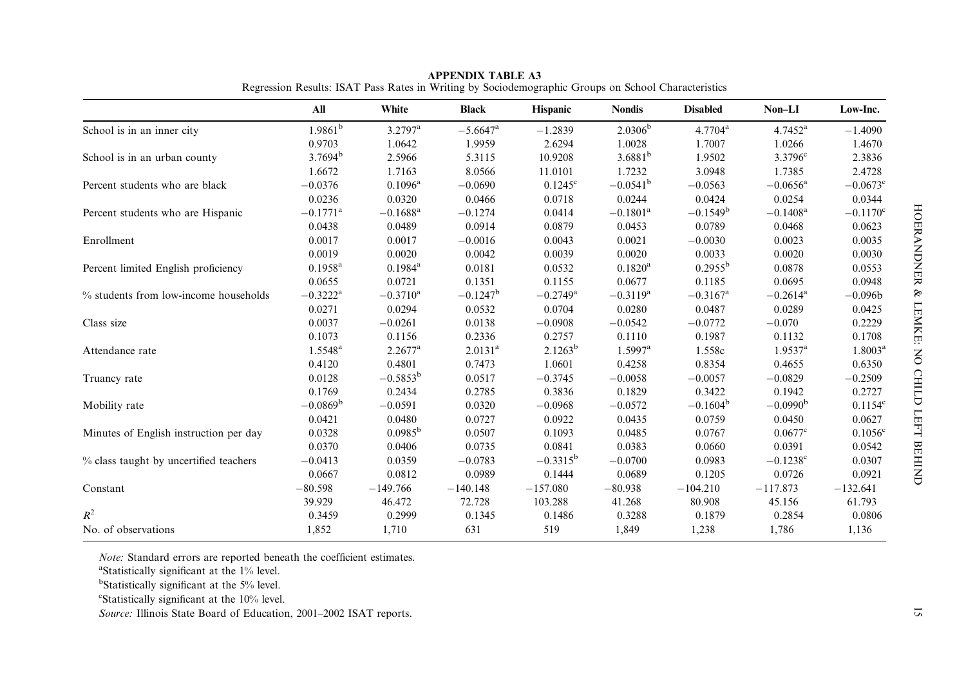|                                        | All                    | White                  | <b>Black</b>           | Hispanic               | <b>Nondis</b>          | <b>Disabled</b>        | Non-LI                 | Low-Inc.            |
|----------------------------------------|------------------------|------------------------|------------------------|------------------------|------------------------|------------------------|------------------------|---------------------|
| School is in an inner city             | $1.9861^{\rm b}$       | $3.2797^{\rm a}$       | $-5.6647$ <sup>a</sup> | $-1.2839$              | $2.0306^{b}$           | $4.7704^a$             | $4.7452^{\rm a}$       | $-1.4090$           |
|                                        | 0.9703                 | 1.0642                 | 1.9959                 | 2.6294                 | 1.0028                 | 1.7007                 | 1.0266                 | 1.4670              |
| School is in an urban county           | 3.7694 <sup>b</sup>    | 2.5966                 | 5.3115                 | 10.9208                | $3.6881^{b}$           | 1.9502                 | $3.3796$ <sup>c</sup>  | 2.3836              |
|                                        | 1.6672                 | 1.7163                 | 8.0566                 | 11.0101                | 1.7232                 | 3.0948                 | 1.7385                 | 2.4728              |
| Percent students who are black         | $-0.0376$              | $0.1096^{\rm a}$       | $-0.0690$              | $0.1245^{\circ}$       | $-0.0541^{\rm b}$      | $-0.0563$              | $-0.0656$ <sup>a</sup> | $-0.0673^{\circ}$   |
|                                        | 0.0236                 | 0.0320                 | 0.0466                 | 0.0718                 | 0.0244                 | 0.0424                 | 0.0254                 | 0.0344              |
| Percent students who are Hispanic      | $-0.1771$ <sup>a</sup> | $-0.1688$ <sup>a</sup> | $-0.1274$              | 0.0414                 | $-0.1801$ <sup>a</sup> | $-0.1549^b$            | $-0.1408$ <sup>a</sup> | $-0.1170^{\circ}$   |
|                                        | 0.0438                 | 0.0489                 | 0.0914                 | 0.0879                 | 0.0453                 | 0.0789                 | 0.0468                 | 0.0623              |
| Enrollment                             | 0.0017                 | 0.0017                 | $-0.0016$              | 0.0043                 | 0.0021                 | $-0.0030$              | 0.0023                 | 0.0035              |
|                                        | 0.0019                 | 0.0020                 | 0.0042                 | 0.0039                 | 0.0020                 | 0.0033                 | 0.0020                 | 0.0030              |
| Percent limited English proficiency    | $0.1958$ <sup>a</sup>  | $0.1984^{\rm a}$       | 0.0181                 | 0.0532                 | $0.1820^{\rm a}$       | $0.2955^{\rm b}$       | 0.0878                 | 0.0553              |
|                                        | 0.0655                 | 0.0721                 | 0.1351                 | 0.1155                 | 0.0677                 | 0.1185                 | 0.0695                 | 0.0948              |
| % students from low-income households  | $-0.3222$ <sup>a</sup> | $-0.3710$ <sup>a</sup> | $-0.1247^{\rm b}$      | $-0.2749$ <sup>a</sup> | $-0.3119^a$            | $-0.3167$ <sup>a</sup> | $-0.2614$ <sup>a</sup> | $-0.096b$           |
|                                        | 0.0271                 | 0.0294                 | 0.0532                 | 0.0704                 | 0.0280                 | 0.0487                 | 0.0289                 | 0.0425              |
| Class size                             | 0.0037                 | $-0.0261$              | 0.0138                 | $-0.0908$              | $-0.0542$              | $-0.0772$              | $-0.070$               | 0.2229              |
|                                        | 0.1073                 | 0.1156                 | 0.2336                 | 0.2757                 | 0.1110                 | 0.1987                 | 0.1132                 | 0.1708              |
| Attendance rate                        | $1.5548^{a}$           | $2.2677^a$             | $2.0131$ <sup>a</sup>  | $2.1263^b$             | $1.5997$ <sup>a</sup>  | 1.558c                 | $1.9537$ <sup>a</sup>  | 1.8003 <sup>a</sup> |
|                                        | 0.4120                 | 0.4801                 | 0.7473                 | 1.0601                 | 0.4258                 | 0.8354                 | 0.4655                 | 0.6350              |
| Truancy rate                           | 0.0128                 | $-0.5853^{\rm b}$      | 0.0517                 | $-0.3745$              | $-0.0058$              | $-0.0057$              | $-0.0829$              | $-0.2509$           |
|                                        | 0.1769                 | 0.2434                 | 0.2785                 | 0.3836                 | 0.1829                 | 0.3422                 | 0.1942                 | 0.2727              |
| Mobility rate                          | $-0.0869^{\rm b}$      | $-0.0591$              | 0.0320                 | $-0.0968$              | $-0.0572$              | $-0.1604^{\rm b}$      | $-0.0990b$             | $0.1154^c$          |
|                                        | 0.0421                 | 0.0480                 | 0.0727                 | 0.0922                 | 0.0435                 | 0.0759                 | 0.0450                 | 0.0627              |
| Minutes of English instruction per day | 0.0328                 | $0.0985^{b}$           | 0.0507                 | 0.1093                 | 0.0485                 | 0.0767                 | $0.0677^{\circ}$       | $0.1056^{\circ}$    |
|                                        | 0.0370                 | 0.0406                 | 0.0735                 | 0.0841                 | 0.0383                 | 0.0660                 | 0.0391                 | 0.0542              |
| % class taught by uncertified teachers | $-0.0413$              | 0.0359                 | $-0.0783$              | $-0.3315^{b}$          | $-0.0700$              | 0.0983                 | $-0.1238$ <sup>c</sup> | 0.0307              |
|                                        | 0.0667                 | 0.0812                 | 0.0989                 | 0.1444                 | 0.0689                 | 0.1205                 | 0.0726                 | 0.0921              |
| Constant                               | $-80.598$              | $-149.766$             | $-140.148$             | $-157.080$             | $-80.938$              | $-104.210$             | $-117.873$             | $-132.641$          |
|                                        | 39.929                 | 46.472                 | 72.728                 | 103.288                | 41.268                 | 80.908                 | 45.156                 | 61.793              |
| $R^2$                                  | 0.3459                 | 0.2999                 | 0.1345                 | 0.1486                 | 0.3288                 | 0.1879                 | 0.2854                 | 0.0806              |
| No. of observations                    | 1,852                  | 1,710                  | 631                    | 519                    | 1,849                  | 1,238                  | 1,786                  | 1,136               |

APPENDIX TABLE A3Regression Results: ISAT Pass Rates in Writing by Sociodemographic Groups on School Characteristics

*Note:* Standard errors are reported beneath the coefficient estimates.

<sup>a</sup>Statistically significant at the 1% level.

<sup>b</sup>Statistically significant at the 5% level.

 $\text{``Statistically significant at the } 10\% \text{ level.}$ 

Source: Illinois State Board of Education, 2001–2002 ISAT reports.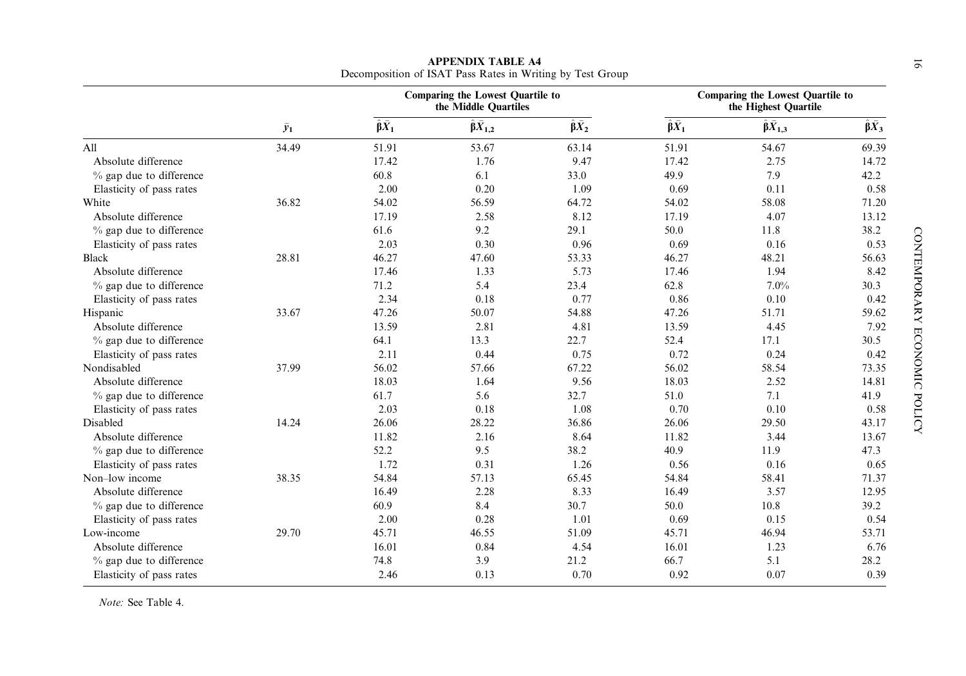|                           |             |                         | <b>Comparing the Lowest Quartile to</b><br>the Middle Quartiles |                         |                         | <b>Comparing the Lowest Quartile to</b><br>the Highest Quartile |                         |
|---------------------------|-------------|-------------------------|-----------------------------------------------------------------|-------------------------|-------------------------|-----------------------------------------------------------------|-------------------------|
|                           | $\bar{y}_1$ | $\hat{\beta} \bar{X}_1$ | $\hat{\beta}\bar{X}_{1,2}$                                      | $\hat{\beta} \bar{X}_2$ | $\hat{\beta} \bar{X}_1$ | $\hat{\beta} \bar{X}_{1,3}$                                     | $\hat{\beta} \bar{X}_3$ |
| A11                       | 34.49       | 51.91                   | 53.67                                                           | 63.14                   | 51.91                   | 54.67                                                           | 69.39                   |
| Absolute difference       |             | 17.42                   | 1.76                                                            | 9.47                    | 17.42                   | 2.75                                                            | 14.72                   |
| $%$ gap due to difference |             | 60.8                    | 6.1                                                             | 33.0                    | 49.9                    | 7.9                                                             | 42.2                    |
| Elasticity of pass rates  |             | 2.00                    | 0.20                                                            | 1.09                    | 0.69                    | 0.11                                                            | 0.58                    |
| White                     | 36.82       | 54.02                   | 56.59                                                           | 64.72                   | 54.02                   | 58.08                                                           | 71.20                   |
| Absolute difference       |             | 17.19                   | 2.58                                                            | 8.12                    | 17.19                   | 4.07                                                            | 13.12                   |
| % gap due to difference   |             | 61.6                    | 9.2                                                             | 29.1                    | 50.0                    | 11.8                                                            | 38.2                    |
| Elasticity of pass rates  |             | 2.03                    | 0.30                                                            | 0.96                    | 0.69                    | 0.16                                                            | 0.53                    |
| <b>Black</b>              | 28.81       | 46.27                   | 47.60                                                           | 53.33                   | 46.27                   | 48.21                                                           | 56.63                   |
| Absolute difference       |             | 17.46                   | 1.33                                                            | 5.73                    | 17.46                   | 1.94                                                            | 8.42                    |
| $%$ gap due to difference |             | 71.2                    | 5.4                                                             | 23.4                    | 62.8                    | 7.0%                                                            | 30.3                    |
| Elasticity of pass rates  |             | 2.34                    | 0.18                                                            | 0.77                    | 0.86                    | 0.10                                                            | 0.42                    |
| Hispanic                  | 33.67       | 47.26                   | 50.07                                                           | 54.88                   | 47.26                   | 51.71                                                           | 59.62                   |
| Absolute difference       |             | 13.59                   | 2.81                                                            | 4.81                    | 13.59                   | 4.45                                                            | 7.92                    |
| % gap due to difference   |             | 64.1                    | 13.3                                                            | 22.7                    | 52.4                    | 17.1                                                            | 30.5                    |
| Elasticity of pass rates  |             | 2.11                    | 0.44                                                            | 0.75                    | 0.72                    | 0.24                                                            | 0.42                    |
| Nondisabled               | 37.99       | 56.02                   | 57.66                                                           | 67.22                   | 56.02                   | 58.54                                                           | 73.35                   |
| Absolute difference       |             | 18.03                   | 1.64                                                            | 9.56                    | 18.03                   | 2.52                                                            | 14.81                   |
| $%$ gap due to difference |             | 61.7                    | 5.6                                                             | 32.7                    | 51.0                    | 7.1                                                             | 41.9                    |
| Elasticity of pass rates  |             | 2.03                    | 0.18                                                            | 1.08                    | 0.70                    | 0.10                                                            | 0.58                    |
| Disabled                  | 14.24       | 26.06                   | 28.22                                                           | 36.86                   | 26.06                   | 29.50                                                           | 43.17                   |
| Absolute difference       |             | 11.82                   | 2.16                                                            | 8.64                    | 11.82                   | 3.44                                                            | 13.67                   |
| $%$ gap due to difference |             | 52.2                    | 9.5                                                             | 38.2                    | 40.9                    | 11.9                                                            | 47.3                    |
| Elasticity of pass rates  |             | 1.72                    | 0.31                                                            | 1.26                    | 0.56                    | 0.16                                                            | 0.65                    |
| Non-low income            | 38.35       | 54.84                   | 57.13                                                           | 65.45                   | 54.84                   | 58.41                                                           | 71.37                   |
| Absolute difference       |             | 16.49                   | 2.28                                                            | 8.33                    | 16.49                   | 3.57                                                            | 12.95                   |
| % gap due to difference   |             | 60.9                    | 8.4                                                             | 30.7                    | 50.0                    | 10.8                                                            | 39.2                    |
| Elasticity of pass rates  |             | 2.00                    | 0.28                                                            | 1.01                    | 0.69                    | 0.15                                                            | 0.54                    |
| Low-income                | 29.70       | 45.71                   | 46.55                                                           | 51.09                   | 45.71                   | 46.94                                                           | 53.71                   |
| Absolute difference       |             | 16.01                   | 0.84                                                            | 4.54                    | 16.01                   | 1.23                                                            | 6.76                    |
| % gap due to difference   |             | 74.8                    | 3.9                                                             | 21.2                    | 66.7                    | 5.1                                                             | 28.2                    |
| Elasticity of pass rates  |             | 2.46                    | 0.13                                                            | 0.70                    | 0.92                    | 0.07                                                            | 0.39                    |

APPENDIX TABLE A4<br>Decomposition of ISAT Pass Rates in Writing by Test Group

Note: See Table 4.